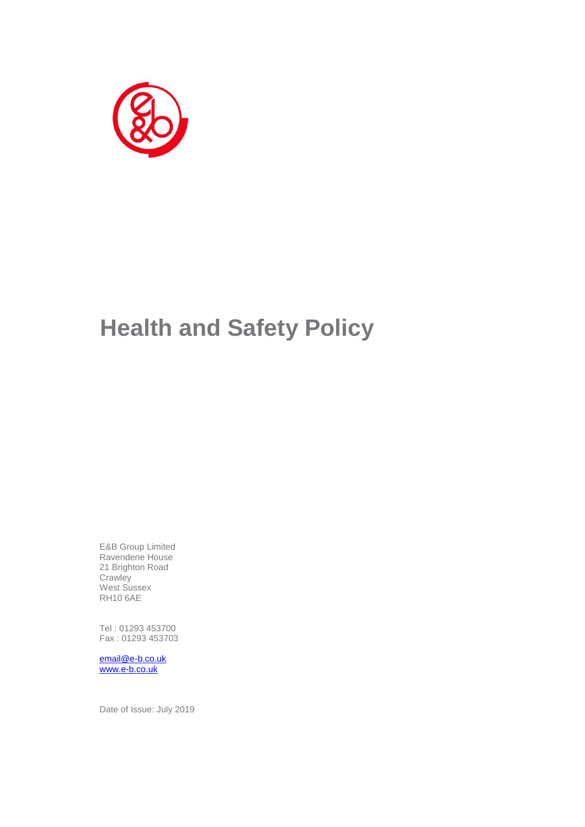

E&B Group Limited Ravendene House 21 Brighton Road **Crawley** West Sussex RH10 6AE

Tel : 01293 453700 Fax : 01293 453703

[email@e-b.co.uk](mailto:email@e-b.co.uk) [www.e-b.co.uk](http://www.e-b.co.uk/)

Date of Issue: July 2019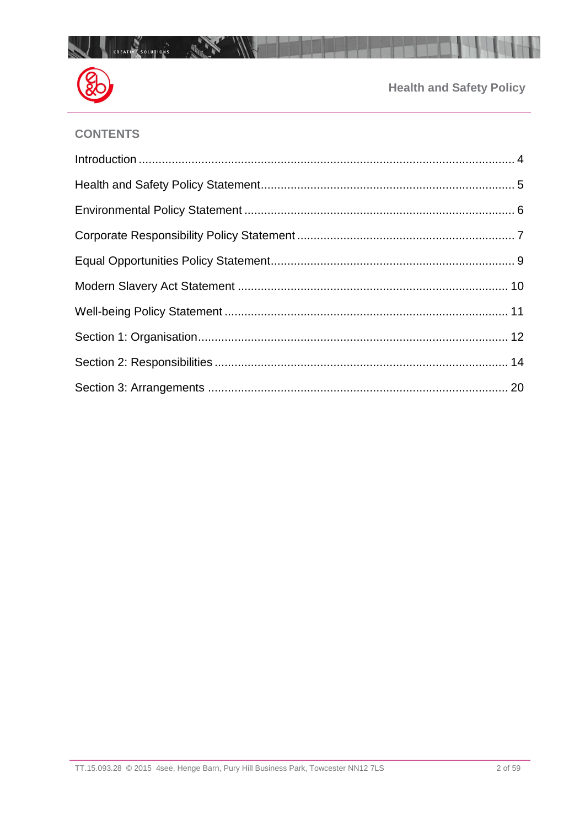

# **CONTENTS**

 $\overline{\phantom{a}}$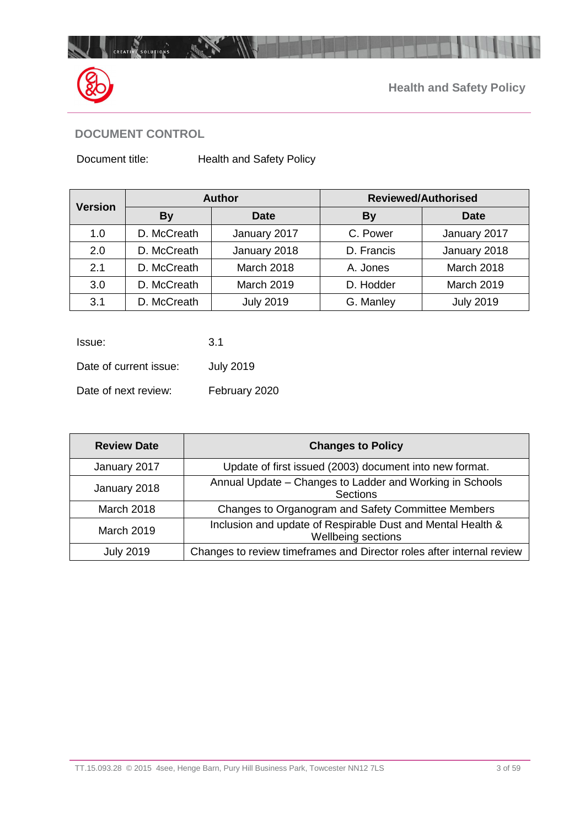

# **DOCUMENT CONTROL**

Document title: Health and Safety Policy

| <b>Version</b> | <b>Author</b> |                   | <b>Reviewed/Authorised</b> |                   |
|----------------|---------------|-------------------|----------------------------|-------------------|
|                | <b>By</b>     | <b>Date</b>       | By                         | Date              |
| 1.0            | D. McCreath   | January 2017      | C. Power                   | January 2017      |
| 2.0            | D. McCreath   | January 2018      | D. Francis                 | January 2018      |
| 2.1            | D. McCreath   | <b>March 2018</b> | A. Jones                   | <b>March 2018</b> |
| 3.0            | D. McCreath   | <b>March 2019</b> | D. Hodder                  | March 2019        |
| 3.1            | D. McCreath   | <b>July 2019</b>  | G. Manley                  | <b>July 2019</b>  |

| Issue:                 | 3.1              |
|------------------------|------------------|
| Date of current issue: | <b>July 2019</b> |
| Date of next review:   | February 2020    |

| <b>Review Date</b> | <b>Changes to Policy</b>                                                          |
|--------------------|-----------------------------------------------------------------------------------|
| January 2017       | Update of first issued (2003) document into new format.                           |
| January 2018       | Annual Update - Changes to Ladder and Working in Schools<br>Sections              |
| March 2018         | Changes to Organogram and Safety Committee Members                                |
| <b>March 2019</b>  | Inclusion and update of Respirable Dust and Mental Health &<br>Wellbeing sections |
| <b>July 2019</b>   | Changes to review timeframes and Director roles after internal review             |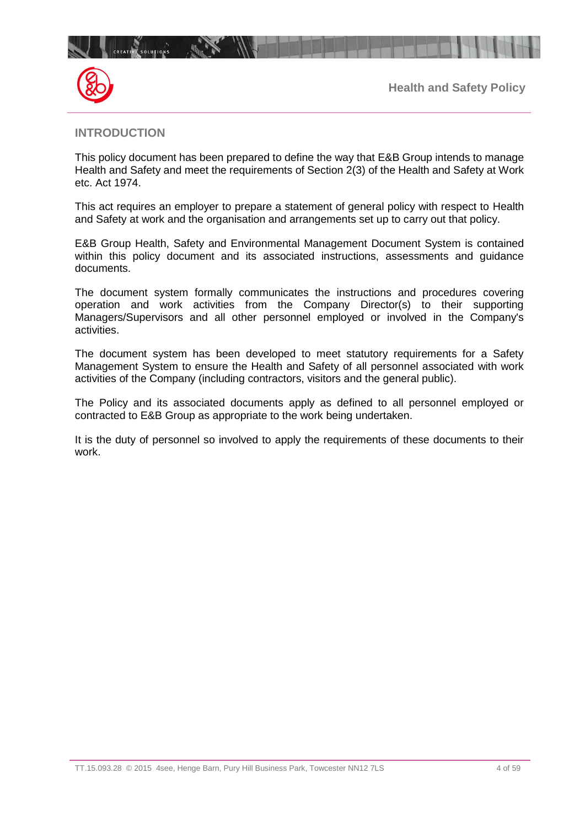

 $\mathbb{R}^n$ 



## <span id="page-3-0"></span>**INTRODUCTION**

This policy document has been prepared to define the way that E&B Group intends to manage Health and Safety and meet the requirements of Section 2(3) of the Health and Safety at Work etc. Act 1974.

This act requires an employer to prepare a statement of general policy with respect to Health and Safety at work and the organisation and arrangements set up to carry out that policy.

E&B Group Health, Safety and Environmental Management Document System is contained within this policy document and its associated instructions, assessments and guidance documents.

The document system formally communicates the instructions and procedures covering operation and work activities from the Company Director(s) to their supporting Managers/Supervisors and all other personnel employed or involved in the Company's activities.

The document system has been developed to meet statutory requirements for a Safety Management System to ensure the Health and Safety of all personnel associated with work activities of the Company (including contractors, visitors and the general public).

The Policy and its associated documents apply as defined to all personnel employed or contracted to E&B Group as appropriate to the work being undertaken.

It is the duty of personnel so involved to apply the requirements of these documents to their work.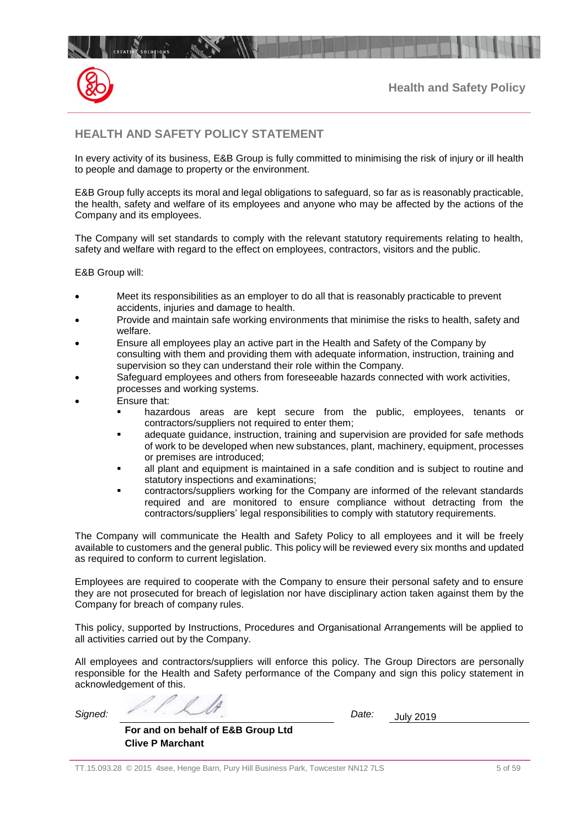

# <span id="page-4-0"></span>**HEALTH AND SAFETY POLICY STATEMENT**

In every activity of its business, E&B Group is fully committed to minimising the risk of injury or ill health to people and damage to property or the environment.

E&B Group fully accepts its moral and legal obligations to safeguard, so far as is reasonably practicable, the health, safety and welfare of its employees and anyone who may be affected by the actions of the Company and its employees.

The Company will set standards to comply with the relevant statutory requirements relating to health, safety and welfare with regard to the effect on employees, contractors, visitors and the public.

E&B Group will:

- Meet its responsibilities as an employer to do all that is reasonably practicable to prevent accidents, injuries and damage to health.
- Provide and maintain safe working environments that minimise the risks to health, safety and welfare.
- Ensure all employees play an active part in the Health and Safety of the Company by consulting with them and providing them with adequate information, instruction, training and supervision so they can understand their role within the Company.
- Safeguard employees and others from foreseeable hazards connected with work activities, processes and working systems.
- Ensure that:
	- hazardous areas are kept secure from the public, employees, tenants or contractors/suppliers not required to enter them;
	- **■** adequate guidance, instruction, training and supervision are provided for safe methods of work to be developed when new substances, plant, machinery, equipment, processes or premises are introduced;
	- all plant and equipment is maintained in a safe condition and is subject to routine and statutory inspections and examinations;
	- contractors/suppliers working for the Company are informed of the relevant standards required and are monitored to ensure compliance without detracting from the contractors/suppliers' legal responsibilities to comply with statutory requirements.

The Company will communicate the Health and Safety Policy to all employees and it will be freely available to customers and the general public. This policy will be reviewed every six months and updated as required to conform to current legislation.

Employees are required to cooperate with the Company to ensure their personal safety and to ensure they are not prosecuted for breach of legislation nor have disciplinary action taken against them by the Company for breach of company rules.

This policy, supported by Instructions, Procedures and Organisational Arrangements will be applied to all activities carried out by the Company.

All employees and contractors/suppliers will enforce this policy. The Group Directors are personally responsible for the Health and Safety performance of the Company and sign this policy statement in acknowledgement of this.

*Signed: Date:* July 2019

| For and on behalf of E&B Group Ltd |  |  |
|------------------------------------|--|--|
| <b>Clive P Marchant</b>            |  |  |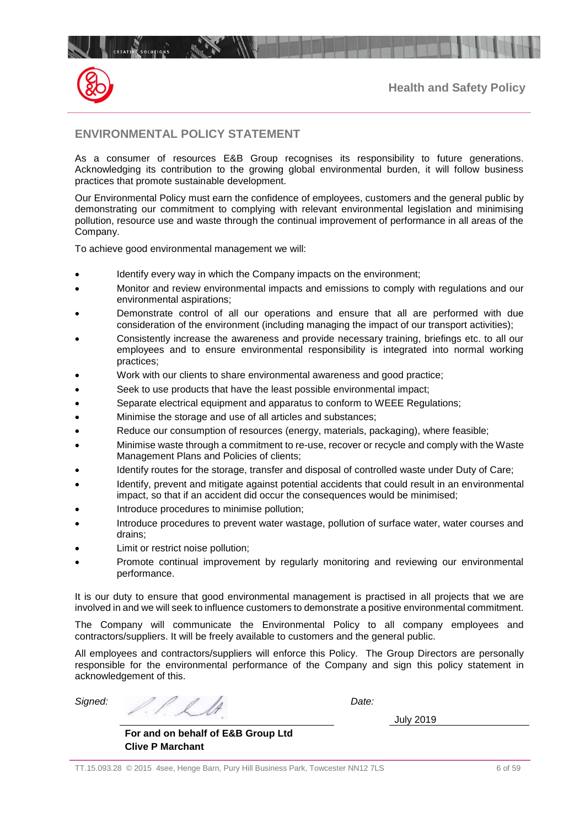



## <span id="page-5-0"></span>**ENVIRONMENTAL POLICY STATEMENT**

As a consumer of resources E&B Group recognises its responsibility to future generations. Acknowledging its contribution to the growing global environmental burden, it will follow business practices that promote sustainable development.

Our Environmental Policy must earn the confidence of employees, customers and the general public by demonstrating our commitment to complying with relevant environmental legislation and minimising pollution, resource use and waste through the continual improvement of performance in all areas of the Company.

To achieve good environmental management we will:

- Identify every way in which the Company impacts on the environment;
- Monitor and review environmental impacts and emissions to comply with regulations and our environmental aspirations;
- Demonstrate control of all our operations and ensure that all are performed with due consideration of the environment (including managing the impact of our transport activities);
- Consistently increase the awareness and provide necessary training, briefings etc. to all our employees and to ensure environmental responsibility is integrated into normal working practices;
- Work with our clients to share environmental awareness and good practice;
- Seek to use products that have the least possible environmental impact;
- Separate electrical equipment and apparatus to conform to WEEE Regulations;
- Minimise the storage and use of all articles and substances;
- Reduce our consumption of resources (energy, materials, packaging), where feasible;
- Minimise waste through a commitment to re-use, recover or recycle and comply with the Waste Management Plans and Policies of clients;
- Identify routes for the storage, transfer and disposal of controlled waste under Duty of Care;
- Identify, prevent and mitigate against potential accidents that could result in an environmental impact, so that if an accident did occur the consequences would be minimised;
- Introduce procedures to minimise pollution;
- Introduce procedures to prevent water wastage, pollution of surface water, water courses and drains;
- Limit or restrict noise pollution;
- Promote continual improvement by regularly monitoring and reviewing our environmental performance.

It is our duty to ensure that good environmental management is practised in all projects that we are involved in and we will seek to influence customers to demonstrate a positive environmental commitment.

The Company will communicate the Environmental Policy to all company employees and contractors/suppliers. It will be freely available to customers and the general public.

All employees and contractors/suppliers will enforce this Policy. The Group Directors are personally responsible for the environmental performance of the Company and sign this policy statement in acknowledgement of this.

*Signed: Date:*

July 2019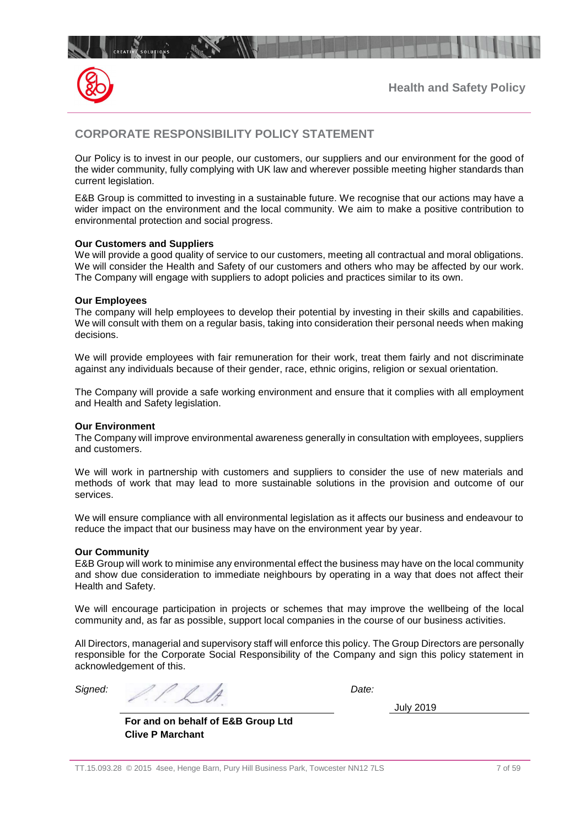



## <span id="page-6-0"></span>**CORPORATE RESPONSIBILITY POLICY STATEMENT**

1

Our Policy is to invest in our people, our customers, our suppliers and our environment for the good of the wider community, fully complying with UK law and wherever possible meeting higher standards than current legislation.

E&B Group is committed to investing in a sustainable future. We recognise that our actions may have a wider impact on the environment and the local community. We aim to make a positive contribution to environmental protection and social progress.

#### **Our Customers and Suppliers**

We will provide a good quality of service to our customers, meeting all contractual and moral obligations. We will consider the Health and Safety of our customers and others who may be affected by our work. The Company will engage with suppliers to adopt policies and practices similar to its own.

#### **Our Employees**

The company will help employees to develop their potential by investing in their skills and capabilities. We will consult with them on a regular basis, taking into consideration their personal needs when making decisions.

We will provide employees with fair remuneration for their work, treat them fairly and not discriminate against any individuals because of their gender, race, ethnic origins, religion or sexual orientation.

The Company will provide a safe working environment and ensure that it complies with all employment and Health and Safety legislation.

#### **Our Environment**

The Company will improve environmental awareness generally in consultation with employees, suppliers and customers.

We will work in partnership with customers and suppliers to consider the use of new materials and methods of work that may lead to more sustainable solutions in the provision and outcome of our services.

We will ensure compliance with all environmental legislation as it affects our business and endeavour to reduce the impact that our business may have on the environment year by year.

#### **Our Community**

E&B Group will work to minimise any environmental effect the business may have on the local community and show due consideration to immediate neighbours by operating in a way that does not affect their Health and Safety.

We will encourage participation in projects or schemes that may improve the wellbeing of the local community and, as far as possible, support local companies in the course of our business activities.

All Directors, managerial and supervisory staff will enforce this policy. The Group Directors are personally responsible for the Corporate Social Responsibility of the Company and sign this policy statement in acknowledgement of this.

*Signed: Date:*

July 2019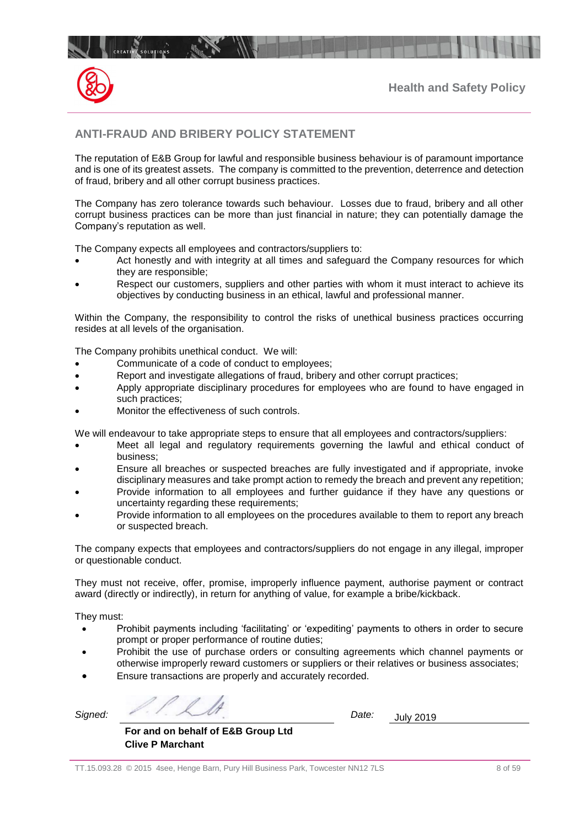



## **ANTI-FRAUD AND BRIBERY POLICY STATEMENT**

 $\mathbb{R}$ 

The reputation of E&B Group for lawful and responsible business behaviour is of paramount importance and is one of its greatest assets. The company is committed to the prevention, deterrence and detection of fraud, bribery and all other corrupt business practices.

The Company has zero tolerance towards such behaviour. Losses due to fraud, bribery and all other corrupt business practices can be more than just financial in nature; they can potentially damage the Company's reputation as well.

The Company expects all employees and contractors/suppliers to:

- Act honestly and with integrity at all times and safeguard the Company resources for which they are responsible;
- Respect our customers, suppliers and other parties with whom it must interact to achieve its objectives by conducting business in an ethical, lawful and professional manner.

Within the Company, the responsibility to control the risks of unethical business practices occurring resides at all levels of the organisation.

The Company prohibits unethical conduct. We will:

- Communicate of a code of conduct to employees;
- Report and investigate allegations of fraud, bribery and other corrupt practices;
- Apply appropriate disciplinary procedures for employees who are found to have engaged in such practices;
- Monitor the effectiveness of such controls.

We will endeavour to take appropriate steps to ensure that all employees and contractors/suppliers:

- Meet all legal and regulatory requirements governing the lawful and ethical conduct of business;
- Ensure all breaches or suspected breaches are fully investigated and if appropriate, invoke disciplinary measures and take prompt action to remedy the breach and prevent any repetition;
- Provide information to all employees and further guidance if they have any questions or uncertainty regarding these requirements;
- Provide information to all employees on the procedures available to them to report any breach or suspected breach.

The company expects that employees and contractors/suppliers do not engage in any illegal, improper or questionable conduct.

They must not receive, offer, promise, improperly influence payment, authorise payment or contract award (directly or indirectly), in return for anything of value, for example a bribe/kickback.

They must:

- Prohibit payments including 'facilitating' or 'expediting' payments to others in order to secure prompt or proper performance of routine duties;
- Prohibit the use of purchase orders or consulting agreements which channel payments or otherwise improperly reward customers or suppliers or their relatives or business associates;
- Ensure transactions are properly and accurately recorded.

*Signed: Date:* July 2019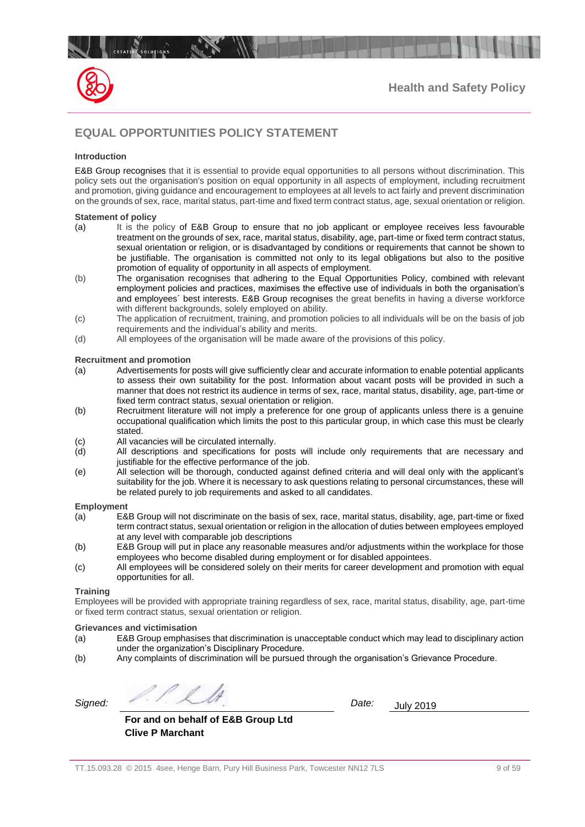

# <span id="page-8-0"></span>**EQUAL OPPORTUNITIES POLICY STATEMENT**

#### **Introduction**

E&B Group recognises that it is essential to provide equal opportunities to all persons without discrimination. This policy sets out the organisation's position on equal opportunity in all aspects of employment, including recruitment and promotion, giving guidance and encouragement to employees at all levels to act fairly and prevent discrimination on the grounds of sex, race, marital status, part-time and fixed term contract status, age, sexual orientation or religion.

#### **Statement of policy**

- (a) It is the policy of E&B Group to ensure that no job applicant or employee receives less favourable treatment on the grounds of sex, race, marital status, disability, age, part-time or fixed term contract status, sexual orientation or religion, or is disadvantaged by conditions or requirements that cannot be shown to be justifiable. The organisation is committed not only to its legal obligations but also to the positive promotion of equality of opportunity in all aspects of employment.
- (b) The organisation recognises that adhering to the Equal Opportunities Policy, combined with relevant employment policies and practices, maximises the effective use of individuals in both the organisation's and employees´ best interests. E&B Group recognises the great benefits in having a diverse workforce with different backgrounds, solely employed on ability.
- (c) The application of recruitment, training, and promotion policies to all individuals will be on the basis of job requirements and the individual's ability and merits.
- (d) All employees of the organisation will be made aware of the provisions of this policy.

#### **Recruitment and promotion**

- (a) Advertisements for posts will give sufficiently clear and accurate information to enable potential applicants to assess their own suitability for the post. Information about vacant posts will be provided in such a manner that does not restrict its audience in terms of sex, race, marital status, disability, age, part-time or fixed term contract status, sexual orientation or religion.
- (b) Recruitment literature will not imply a preference for one group of applicants unless there is a genuine occupational qualification which limits the post to this particular group, in which case this must be clearly stated.
- (c) All vacancies will be circulated internally.
- (d) All descriptions and specifications for posts will include only requirements that are necessary and justifiable for the effective performance of the job.
- (e) All selection will be thorough, conducted against defined criteria and will deal only with the applicant's suitability for the job. Where it is necessary to ask questions relating to personal circumstances, these will be related purely to job requirements and asked to all candidates.

#### **Employment**

- (a) E&B Group will not discriminate on the basis of sex, race, marital status, disability, age, part-time or fixed term contract status, sexual orientation or religion in the allocation of duties between employees employed at any level with comparable job descriptions
- (b) E&B Group will put in place any reasonable measures and/or adjustments within the workplace for those employees who become disabled during employment or for disabled appointees.
- (c) All employees will be considered solely on their merits for career development and promotion with equal opportunities for all.

#### **Training**

Employees will be provided with appropriate training regardless of sex, race, marital status, disability, age, part-time or fixed term contract status, sexual orientation or religion.

#### **Grievances and victimisation**

- (a) E&B Group emphasises that discrimination is unacceptable conduct which may lead to disciplinary action under the organization's Disciplinary Procedure.
- (b) Any complaints of discrimination will be pursued through the organisation's Grievance Procedure.

*Signed: Date:* July 2019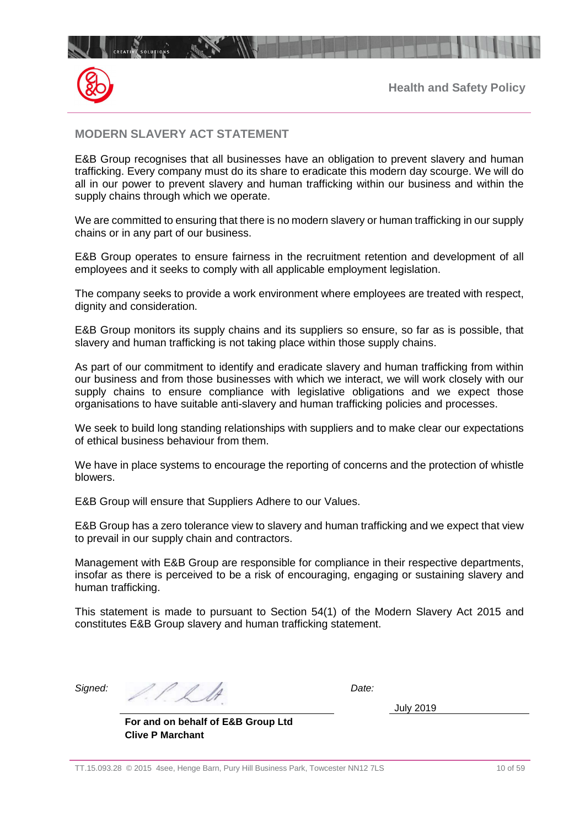

## <span id="page-9-0"></span>**MODERN SLAVERY ACT STATEMENT**

E&B Group recognises that all businesses have an obligation to prevent slavery and human trafficking. Every company must do its share to eradicate this modern day scourge. We will do all in our power to prevent slavery and human trafficking within our business and within the supply chains through which we operate.

We are committed to ensuring that there is no modern slavery or human trafficking in our supply chains or in any part of our business.

E&B Group operates to ensure fairness in the recruitment retention and development of all employees and it seeks to comply with all applicable employment legislation.

The company seeks to provide a work environment where employees are treated with respect, dignity and consideration.

E&B Group monitors its supply chains and its suppliers so ensure, so far as is possible, that slavery and human trafficking is not taking place within those supply chains.

As part of our commitment to identify and eradicate slavery and human trafficking from within our business and from those businesses with which we interact, we will work closely with our supply chains to ensure compliance with legislative obligations and we expect those organisations to have suitable anti-slavery and human trafficking policies and processes.

We seek to build long standing relationships with suppliers and to make clear our expectations of ethical business behaviour from them.

We have in place systems to encourage the reporting of concerns and the protection of whistle blowers.

E&B Group will ensure that Suppliers Adhere to our Values.

E&B Group has a zero tolerance view to slavery and human trafficking and we expect that view to prevail in our supply chain and contractors.

Management with E&B Group are responsible for compliance in their respective departments, insofar as there is perceived to be a risk of encouraging, engaging or sustaining slavery and human trafficking.

This statement is made to pursuant to Section 54(1) of the Modern Slavery Act 2015 and constitutes E&B Group slavery and human trafficking statement.

*Signed: Date:*

July 2019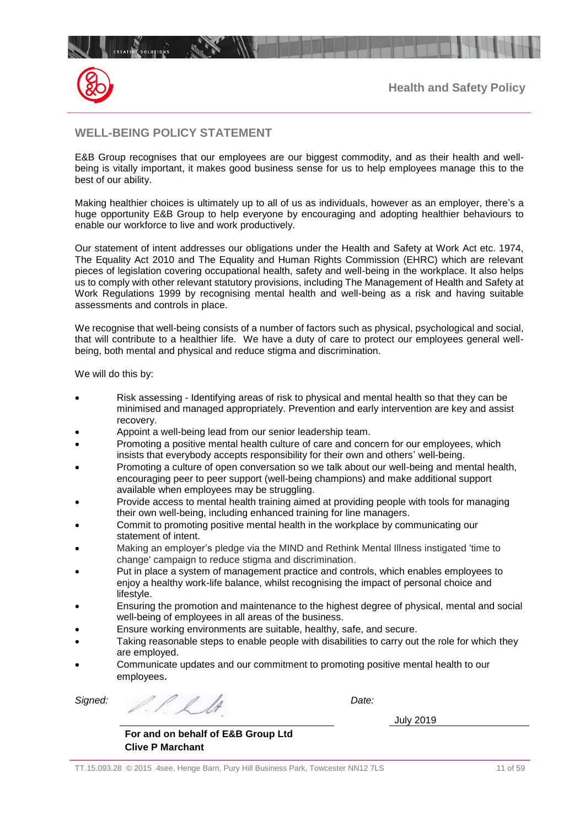

# <span id="page-10-0"></span>**WELL-BEING POLICY STATEMENT**

 $\mathbb{R}$ 

E&B Group recognises that our employees are our biggest commodity, and as their health and wellbeing is vitally important, it makes good business sense for us to help employees manage this to the best of our ability.

Making healthier choices is ultimately up to all of us as individuals, however as an employer, there's a huge opportunity E&B Group to help everyone by encouraging and adopting healthier behaviours to enable our workforce to live and work productively.

Our statement of intent addresses our obligations under the Health and Safety at Work Act etc. 1974, The Equality Act 2010 and The Equality and Human Rights Commission (EHRC) which are relevant pieces of legislation covering occupational health, safety and well-being in the workplace. It also helps us to comply with other relevant statutory provisions, including The Management of Health and Safety at Work Regulations 1999 by recognising mental health and well-being as a risk and having suitable assessments and controls in place.

We recognise that well-being consists of a number of factors such as physical, psychological and social, that will contribute to a healthier life. We have a duty of care to protect our employees general wellbeing, both mental and physical and reduce stigma and discrimination.

We will do this by:

- Risk assessing Identifying areas of risk to physical and mental health so that they can be minimised and managed appropriately. Prevention and early intervention are key and assist recovery.
- Appoint a well-being lead from our senior leadership team.
- Promoting a positive mental health culture of care and concern for our employees, which insists that everybody accepts responsibility for their own and others' well-being.
- Promoting a culture of open conversation so we talk about our well-being and mental health, encouraging peer to peer support (well-being champions) and make additional support available when employees may be struggling.
- Provide access to mental health training aimed at providing people with tools for managing their own well-being, including enhanced training for line managers.
- Commit to promoting positive mental health in the workplace by communicating our statement of intent.
- Making an employer's pledge via the MIND and Rethink Mental Illness instigated 'time to change' campaign to reduce stigma and discrimination.
- Put in place a system of management practice and controls, which enables employees to enjoy a healthy work-life balance, whilst recognising the impact of personal choice and lifestyle.
- Ensuring the promotion and maintenance to the highest degree of physical, mental and social well-being of employees in all areas of the business.
- Ensure working environments are suitable, healthy, safe, and secure.
- Taking reasonable steps to enable people with disabilities to carry out the role for which they are employed.
- Communicate updates and our commitment to promoting positive mental health to our employees.

*Signed: Date:*

July 2019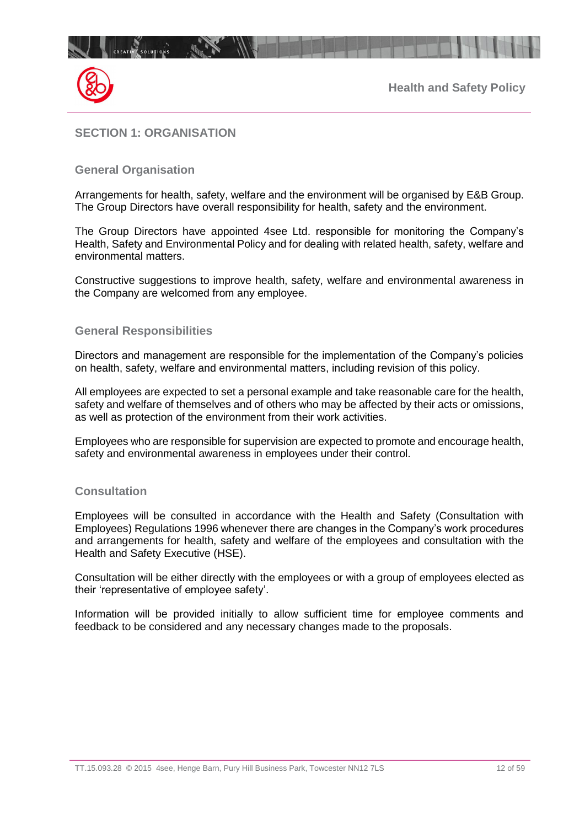

# <span id="page-11-0"></span>**SECTION 1: ORGANISATION**

## **General Organisation**

Arrangements for health, safety, welfare and the environment will be organised by E&B Group. The Group Directors have overall responsibility for health, safety and the environment.

The Group Directors have appointed 4see Ltd. responsible for monitoring the Company's Health, Safety and Environmental Policy and for dealing with related health, safety, welfare and environmental matters.

Constructive suggestions to improve health, safety, welfare and environmental awareness in the Company are welcomed from any employee.

## **General Responsibilities**

Directors and management are responsible for the implementation of the Company's policies on health, safety, welfare and environmental matters, including revision of this policy.

All employees are expected to set a personal example and take reasonable care for the health, safety and welfare of themselves and of others who may be affected by their acts or omissions, as well as protection of the environment from their work activities.

Employees who are responsible for supervision are expected to promote and encourage health, safety and environmental awareness in employees under their control.

## **Consultation**

Employees will be consulted in accordance with the Health and Safety (Consultation with Employees) Regulations 1996 whenever there are changes in the Company's work procedures and arrangements for health, safety and welfare of the employees and consultation with the Health and Safety Executive (HSE).

Consultation will be either directly with the employees or with a group of employees elected as their 'representative of employee safety'.

Information will be provided initially to allow sufficient time for employee comments and feedback to be considered and any necessary changes made to the proposals.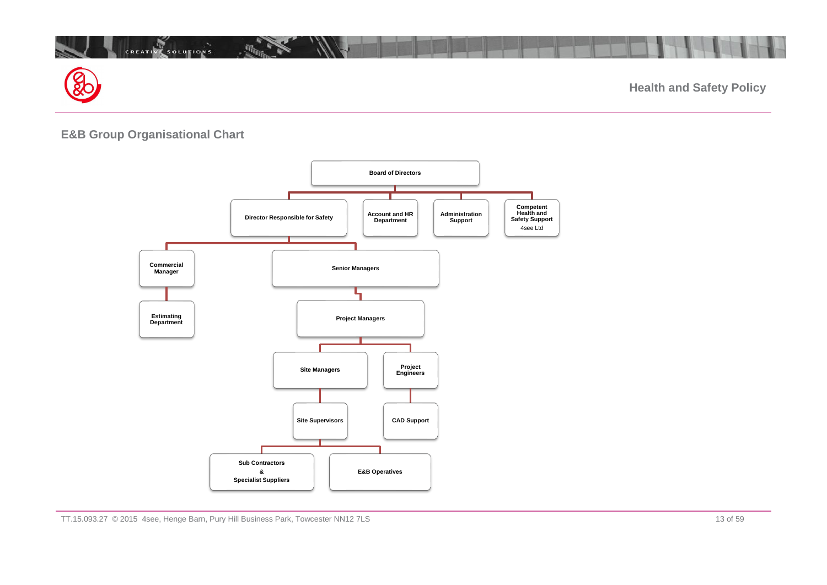

# **E&B Group Organisational Chart**

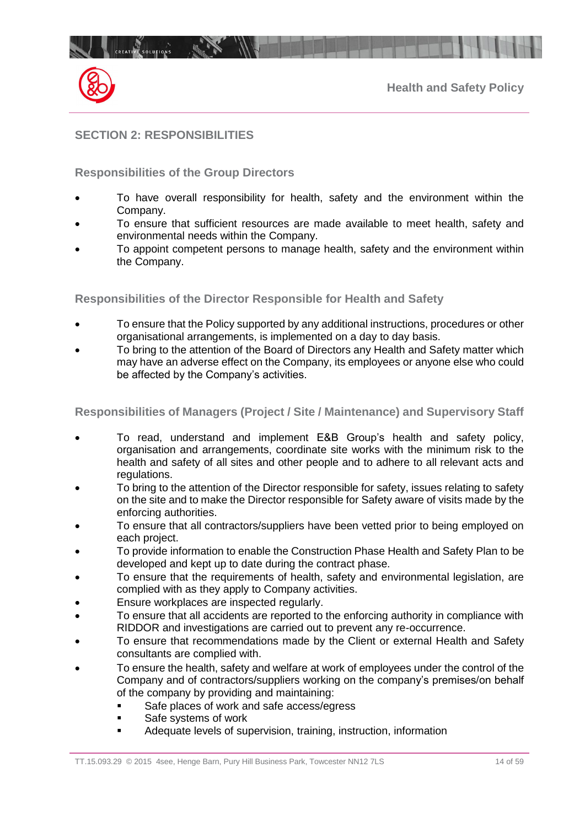

## <span id="page-13-0"></span>**SECTION 2: RESPONSIBILITIES**

## **Responsibilities of the Group Directors**

- To have overall responsibility for health, safety and the environment within the Company.
- To ensure that sufficient resources are made available to meet health, safety and environmental needs within the Company.
- To appoint competent persons to manage health, safety and the environment within the Company.

#### **Responsibilities of the Director Responsible for Health and Safety**

- To ensure that the Policy supported by any additional instructions, procedures or other organisational arrangements, is implemented on a day to day basis.
- To bring to the attention of the Board of Directors any Health and Safety matter which may have an adverse effect on the Company, its employees or anyone else who could be affected by the Company's activities.

## **Responsibilities of Managers (Project / Site / Maintenance) and Supervisory Staff**

- To read, understand and implement E&B Group's health and safety policy, organisation and arrangements, coordinate site works with the minimum risk to the health and safety of all sites and other people and to adhere to all relevant acts and regulations.
- To bring to the attention of the Director responsible for safety, issues relating to safety on the site and to make the Director responsible for Safety aware of visits made by the enforcing authorities.
- To ensure that all contractors/suppliers have been vetted prior to being employed on each project.
- To provide information to enable the Construction Phase Health and Safety Plan to be developed and kept up to date during the contract phase.
- To ensure that the requirements of health, safety and environmental legislation, are complied with as they apply to Company activities.
- Ensure workplaces are inspected regularly.
- To ensure that all accidents are reported to the enforcing authority in compliance with RIDDOR and investigations are carried out to prevent any re-occurrence.
- To ensure that recommendations made by the Client or external Health and Safety consultants are complied with.
- To ensure the health, safety and welfare at work of employees under the control of the Company and of contractors/suppliers working on the company's premises/on behalf of the company by providing and maintaining:
	- Safe places of work and safe access/egress
	- Safe systems of work
	- Adequate levels of supervision, training, instruction, information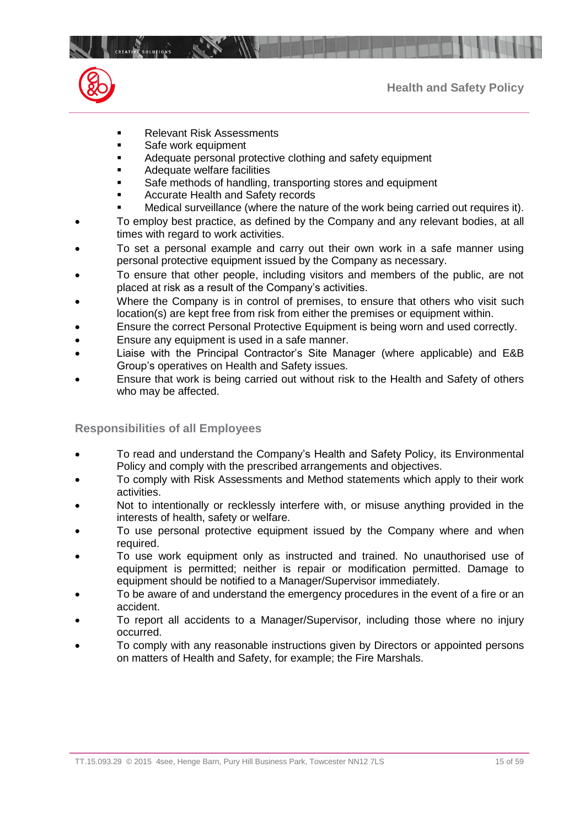

- Relevant Risk Assessments
- Safe work equipment
- Adequate personal protective clothing and safety equipment
- Adequate welfare facilities
- Safe methods of handling, transporting stores and equipment
- Accurate Health and Safety records
- Medical surveillance (where the nature of the work being carried out requires it).
- To employ best practice, as defined by the Company and any relevant bodies, at all times with regard to work activities.
- To set a personal example and carry out their own work in a safe manner using personal protective equipment issued by the Company as necessary.
- To ensure that other people, including visitors and members of the public, are not placed at risk as a result of the Company's activities.
- Where the Company is in control of premises, to ensure that others who visit such location(s) are kept free from risk from either the premises or equipment within.
- Ensure the correct Personal Protective Equipment is being worn and used correctly.
- Ensure any equipment is used in a safe manner.
- Liaise with the Principal Contractor's Site Manager (where applicable) and E&B Group's operatives on Health and Safety issues.
- Ensure that work is being carried out without risk to the Health and Safety of others who may be affected.

## **Responsibilities of all Employees**

- To read and understand the Company's Health and Safety Policy, its Environmental Policy and comply with the prescribed arrangements and objectives.
- To comply with Risk Assessments and Method statements which apply to their work activities.
- Not to intentionally or recklessly interfere with, or misuse anything provided in the interests of health, safety or welfare.
- To use personal protective equipment issued by the Company where and when required.
- To use work equipment only as instructed and trained. No unauthorised use of equipment is permitted; neither is repair or modification permitted. Damage to equipment should be notified to a Manager/Supervisor immediately.
- To be aware of and understand the emergency procedures in the event of a fire or an accident.
- To report all accidents to a Manager/Supervisor, including those where no injury occurred.
- To comply with any reasonable instructions given by Directors or appointed persons on matters of Health and Safety, for example; the Fire Marshals.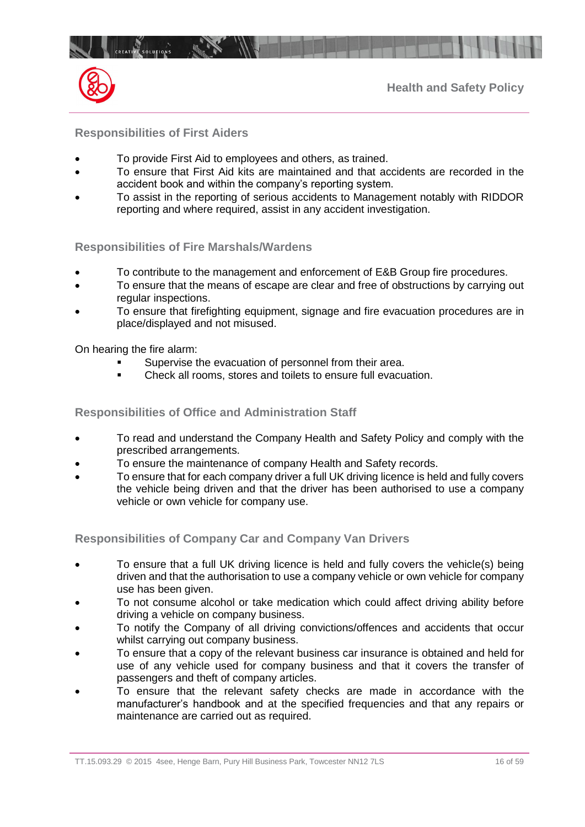

## **Responsibilities of First Aiders**

CREATIVE SOLUTIONS

- To provide First Aid to employees and others, as trained.
- To ensure that First Aid kits are maintained and that accidents are recorded in the accident book and within the company's reporting system.
- To assist in the reporting of serious accidents to Management notably with RIDDOR reporting and where required, assist in any accident investigation.

## **Responsibilities of Fire Marshals/Wardens**

- To contribute to the management and enforcement of E&B Group fire procedures.
- To ensure that the means of escape are clear and free of obstructions by carrying out regular inspections.
- To ensure that firefighting equipment, signage and fire evacuation procedures are in place/displayed and not misused.

On hearing the fire alarm:

- Supervise the evacuation of personnel from their area.
- Check all rooms, stores and toilets to ensure full evacuation.

## **Responsibilities of Office and Administration Staff**

- To read and understand the Company Health and Safety Policy and comply with the prescribed arrangements.
- To ensure the maintenance of company Health and Safety records.
- To ensure that for each company driver a full UK driving licence is held and fully covers the vehicle being driven and that the driver has been authorised to use a company vehicle or own vehicle for company use.

**Responsibilities of Company Car and Company Van Drivers**

- To ensure that a full UK driving licence is held and fully covers the vehicle(s) being driven and that the authorisation to use a company vehicle or own vehicle for company use has been given.
- To not consume alcohol or take medication which could affect driving ability before driving a vehicle on company business.
- To notify the Company of all driving convictions/offences and accidents that occur whilst carrying out company business.
- To ensure that a copy of the relevant business car insurance is obtained and held for use of any vehicle used for company business and that it covers the transfer of passengers and theft of company articles.
- To ensure that the relevant safety checks are made in accordance with the manufacturer's handbook and at the specified frequencies and that any repairs or maintenance are carried out as required.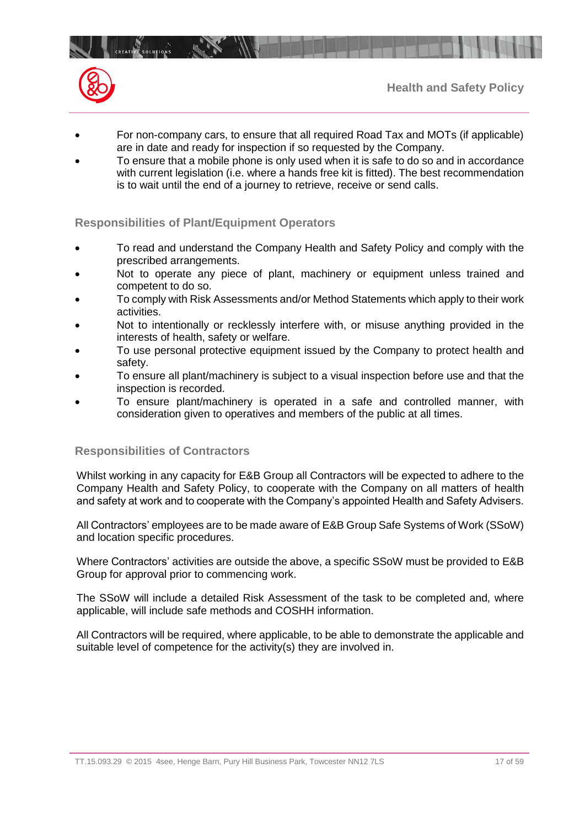

- For non-company cars, to ensure that all required Road Tax and MOTs (if applicable) are in date and ready for inspection if so requested by the Company.
- To ensure that a mobile phone is only used when it is safe to do so and in accordance with current legislation (i.e. where a hands free kit is fitted). The best recommendation is to wait until the end of a journey to retrieve, receive or send calls.

## **Responsibilities of Plant/Equipment Operators**

 $\mathbb{R}$ 

- To read and understand the Company Health and Safety Policy and comply with the prescribed arrangements.
- Not to operate any piece of plant, machinery or equipment unless trained and competent to do so.
- To comply with Risk Assessments and/or Method Statements which apply to their work activities.
- Not to intentionally or recklessly interfere with, or misuse anything provided in the interests of health, safety or welfare.
- To use personal protective equipment issued by the Company to protect health and safety.
- To ensure all plant/machinery is subject to a visual inspection before use and that the inspection is recorded.
- To ensure plant/machinery is operated in a safe and controlled manner, with consideration given to operatives and members of the public at all times.

## **Responsibilities of Contractors**

Whilst working in any capacity for E&B Group all Contractors will be expected to adhere to the Company Health and Safety Policy, to cooperate with the Company on all matters of health and safety at work and to cooperate with the Company's appointed Health and Safety Advisers.

All Contractors' employees are to be made aware of E&B Group Safe Systems of Work (SSoW) and location specific procedures.

Where Contractors' activities are outside the above, a specific SSoW must be provided to E&B Group for approval prior to commencing work.

The SSoW will include a detailed Risk Assessment of the task to be completed and, where applicable, will include safe methods and COSHH information.

All Contractors will be required, where applicable, to be able to demonstrate the applicable and suitable level of competence for the activity(s) they are involved in.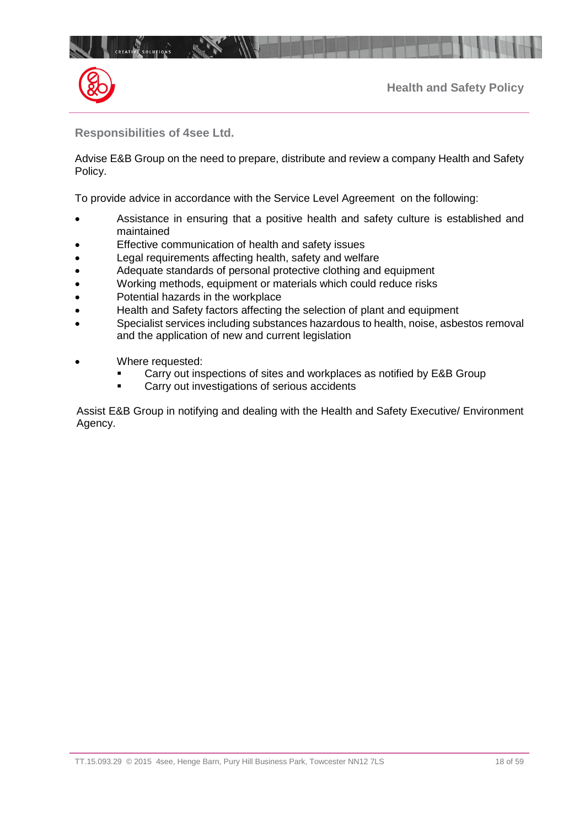

**Responsibilities of 4see Ltd.**

Advise E&B Group on the need to prepare, distribute and review a company Health and Safety Policy.

To provide advice in accordance with the Service Level Agreement on the following:

- Assistance in ensuring that a positive health and safety culture is established and maintained
- Effective communication of health and safety issues
- Legal requirements affecting health, safety and welfare
- Adequate standards of personal protective clothing and equipment
- Working methods, equipment or materials which could reduce risks
- Potential hazards in the workplace
- Health and Safety factors affecting the selection of plant and equipment
- Specialist services including substances hazardous to health, noise, asbestos removal and the application of new and current legislation
- Where requested:
	- Carry out inspections of sites and workplaces as notified by E&B Group
	- **EXEC** Carry out investigations of serious accidents

Assist E&B Group in notifying and dealing with the Health and Safety Executive/ Environment Agency.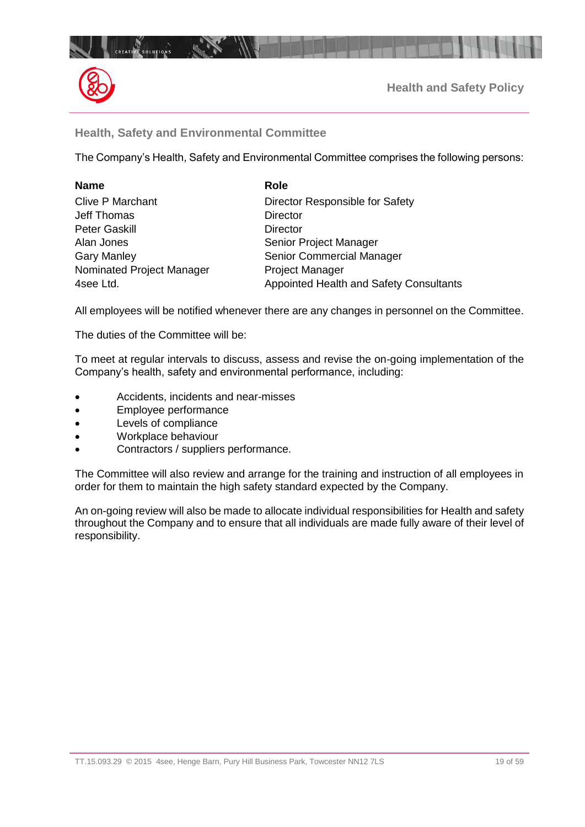

## **Health, Safety and Environmental Committee**

The Company's Health, Safety and Environmental Committee comprises the following persons:

| <b>Name</b>               | <b>Role</b>                             |
|---------------------------|-----------------------------------------|
| <b>Clive P Marchant</b>   | Director Responsible for Safety         |
| Jeff Thomas               | <b>Director</b>                         |
| <b>Peter Gaskill</b>      | <b>Director</b>                         |
| Alan Jones                | Senior Project Manager                  |
| <b>Gary Manley</b>        | Senior Commercial Manager               |
| Nominated Project Manager | <b>Project Manager</b>                  |
| 4see Ltd.                 | Appointed Health and Safety Consultants |

All employees will be notified whenever there are any changes in personnel on the Committee.

The duties of the Committee will be:

To meet at regular intervals to discuss, assess and revise the on-going implementation of the Company's health, safety and environmental performance, including:

- Accidents, incidents and near-misses
- Employee performance
- Levels of compliance
- Workplace behaviour
- Contractors / suppliers performance.

The Committee will also review and arrange for the training and instruction of all employees in order for them to maintain the high safety standard expected by the Company.

An on-going review will also be made to allocate individual responsibilities for Health and safety throughout the Company and to ensure that all individuals are made fully aware of their level of responsibility.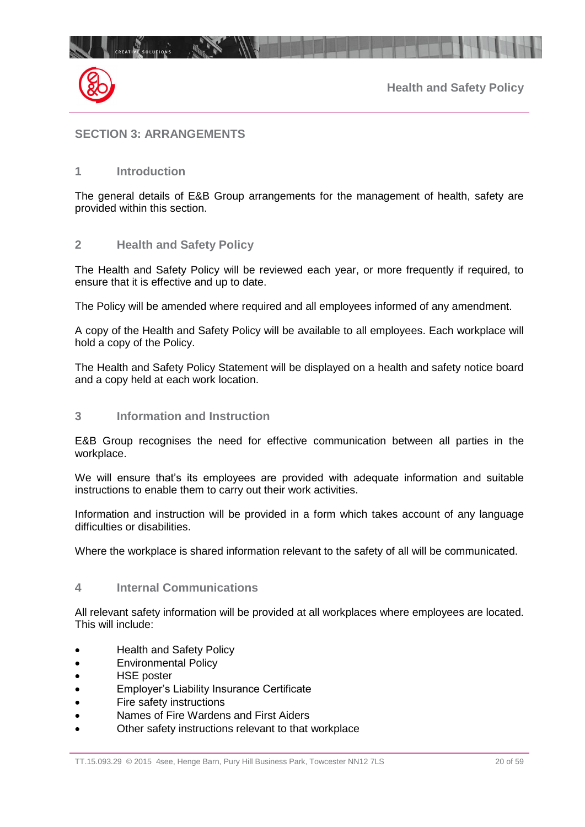

## <span id="page-19-0"></span>**SECTION 3: ARRANGEMENTS**

## **1 Introduction**

The general details of E&B Group arrangements for the management of health, safety are provided within this section.

#### **2 Health and Safety Policy**

The Health and Safety Policy will be reviewed each year, or more frequently if required, to ensure that it is effective and up to date.

The Policy will be amended where required and all employees informed of any amendment.

A copy of the Health and Safety Policy will be available to all employees. Each workplace will hold a copy of the Policy.

The Health and Safety Policy Statement will be displayed on a health and safety notice board and a copy held at each work location.

## **3 Information and Instruction**

E&B Group recognises the need for effective communication between all parties in the workplace.

We will ensure that's its employees are provided with adequate information and suitable instructions to enable them to carry out their work activities.

Information and instruction will be provided in a form which takes account of any language difficulties or disabilities.

Where the workplace is shared information relevant to the safety of all will be communicated.

## **4 Internal Communications**

All relevant safety information will be provided at all workplaces where employees are located. This will include:

- Health and Safety Policy
- Environmental Policy
- HSE poster
- Employer's Liability Insurance Certificate
- Fire safety instructions
- Names of Fire Wardens and First Aiders
- Other safety instructions relevant to that workplace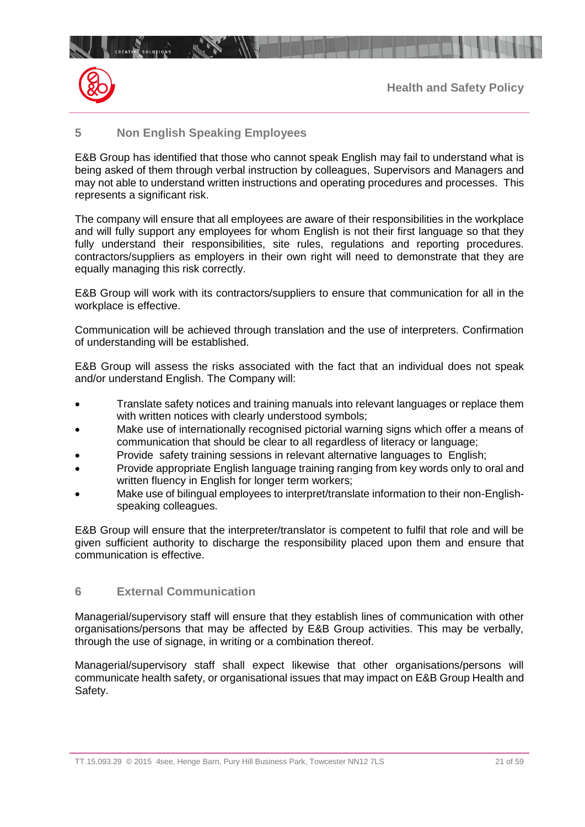

## **5 Non English Speaking Employees**

 $10^{14}$ 

E&B Group has identified that those who cannot speak English may fail to understand what is being asked of them through verbal instruction by colleagues, Supervisors and Managers and may not able to understand written instructions and operating procedures and processes. This represents a significant risk.

The company will ensure that all employees are aware of their responsibilities in the workplace and will fully support any employees for whom English is not their first language so that they fully understand their responsibilities, site rules, regulations and reporting procedures. contractors/suppliers as employers in their own right will need to demonstrate that they are equally managing this risk correctly.

E&B Group will work with its contractors/suppliers to ensure that communication for all in the workplace is effective.

Communication will be achieved through translation and the use of interpreters. Confirmation of understanding will be established.

E&B Group will assess the risks associated with the fact that an individual does not speak and/or understand English. The Company will:

- Translate safety notices and training manuals into relevant languages or replace them with written notices with clearly understood symbols;
- Make use of internationally recognised pictorial warning signs which offer a means of communication that should be clear to all regardless of literacy or language;
- Provide safety training sessions in relevant alternative languages to English;
- Provide appropriate English language training ranging from key words only to oral and written fluency in English for longer term workers;
- Make use of bilingual employees to interpret/translate information to their non-Englishspeaking colleagues.

E&B Group will ensure that the interpreter/translator is competent to fulfil that role and will be given sufficient authority to discharge the responsibility placed upon them and ensure that communication is effective.

## **6 External Communication**

Managerial/supervisory staff will ensure that they establish lines of communication with other organisations/persons that may be affected by E&B Group activities. This may be verbally, through the use of signage, in writing or a combination thereof.

Managerial/supervisory staff shall expect likewise that other organisations/persons will communicate health safety, or organisational issues that may impact on E&B Group Health and Safety.

TT.15.093.29 © 2015 4see, Henge Barn, Pury Hill Business Park, Towcester NN12 7LS 21 05 21 of 59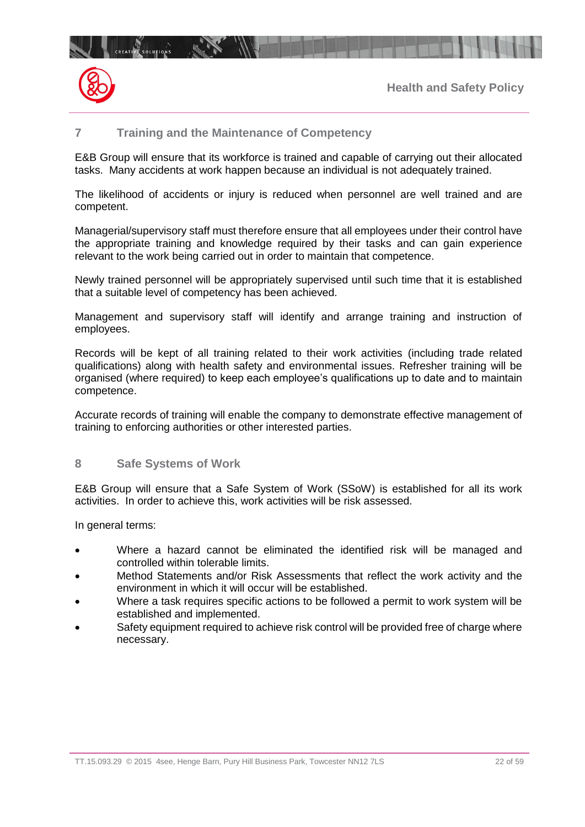

CREATIVE SOLUTIONS INTERNATION

## **7 Training and the Maintenance of Competency**

E&B Group will ensure that its workforce is trained and capable of carrying out their allocated tasks. Many accidents at work happen because an individual is not adequately trained.

The likelihood of accidents or injury is reduced when personnel are well trained and are competent.

Managerial/supervisory staff must therefore ensure that all employees under their control have the appropriate training and knowledge required by their tasks and can gain experience relevant to the work being carried out in order to maintain that competence.

Newly trained personnel will be appropriately supervised until such time that it is established that a suitable level of competency has been achieved.

Management and supervisory staff will identify and arrange training and instruction of employees.

Records will be kept of all training related to their work activities (including trade related qualifications) along with health safety and environmental issues. Refresher training will be organised (where required) to keep each employee's qualifications up to date and to maintain competence.

Accurate records of training will enable the company to demonstrate effective management of training to enforcing authorities or other interested parties.

#### **8 Safe Systems of Work**

E&B Group will ensure that a Safe System of Work (SSoW) is established for all its work activities. In order to achieve this, work activities will be risk assessed.

In general terms:

- Where a hazard cannot be eliminated the identified risk will be managed and controlled within tolerable limits.
- Method Statements and/or Risk Assessments that reflect the work activity and the environment in which it will occur will be established.
- Where a task requires specific actions to be followed a permit to work system will be established and implemented.
- Safety equipment required to achieve risk control will be provided free of charge where necessary.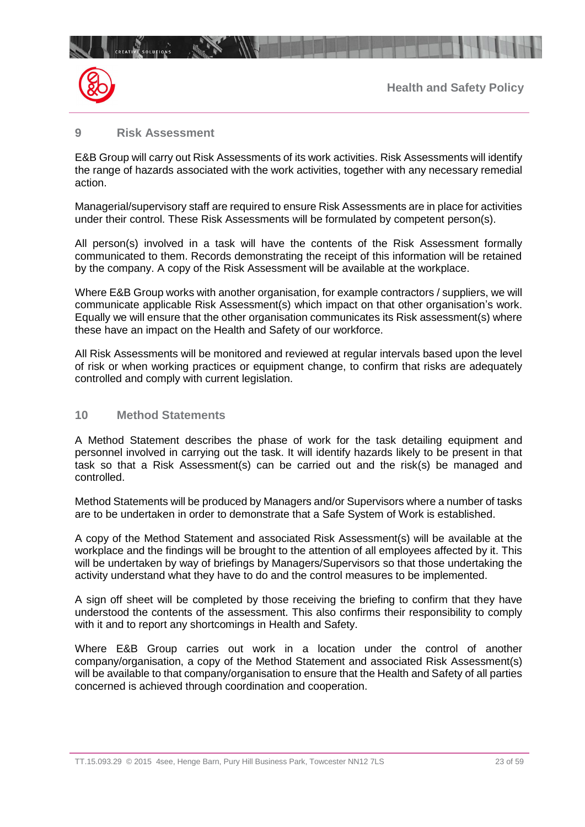

## **9 Risk Assessment**

**CREATIVE SOLUTIONS** 

E&B Group will carry out Risk Assessments of its work activities. Risk Assessments will identify the range of hazards associated with the work activities, together with any necessary remedial action.

Managerial/supervisory staff are required to ensure Risk Assessments are in place for activities under their control. These Risk Assessments will be formulated by competent person(s).

All person(s) involved in a task will have the contents of the Risk Assessment formally communicated to them. Records demonstrating the receipt of this information will be retained by the company. A copy of the Risk Assessment will be available at the workplace.

Where E&B Group works with another organisation, for example contractors / suppliers, we will communicate applicable Risk Assessment(s) which impact on that other organisation's work. Equally we will ensure that the other organisation communicates its Risk assessment(s) where these have an impact on the Health and Safety of our workforce.

All Risk Assessments will be monitored and reviewed at regular intervals based upon the level of risk or when working practices or equipment change, to confirm that risks are adequately controlled and comply with current legislation.

## **10 Method Statements**

A Method Statement describes the phase of work for the task detailing equipment and personnel involved in carrying out the task. It will identify hazards likely to be present in that task so that a Risk Assessment(s) can be carried out and the risk(s) be managed and controlled.

Method Statements will be produced by Managers and/or Supervisors where a number of tasks are to be undertaken in order to demonstrate that a Safe System of Work is established.

A copy of the Method Statement and associated Risk Assessment(s) will be available at the workplace and the findings will be brought to the attention of all employees affected by it. This will be undertaken by way of briefings by Managers/Supervisors so that those undertaking the activity understand what they have to do and the control measures to be implemented.

A sign off sheet will be completed by those receiving the briefing to confirm that they have understood the contents of the assessment. This also confirms their responsibility to comply with it and to report any shortcomings in Health and Safety.

Where E&B Group carries out work in a location under the control of another company/organisation, a copy of the Method Statement and associated Risk Assessment(s) will be available to that company/organisation to ensure that the Health and Safety of all parties concerned is achieved through coordination and cooperation.

TT.15.093.29 © 2015 4see, Henge Barn, Pury Hill Business Park, Towcester NN12 7LS 23 05 59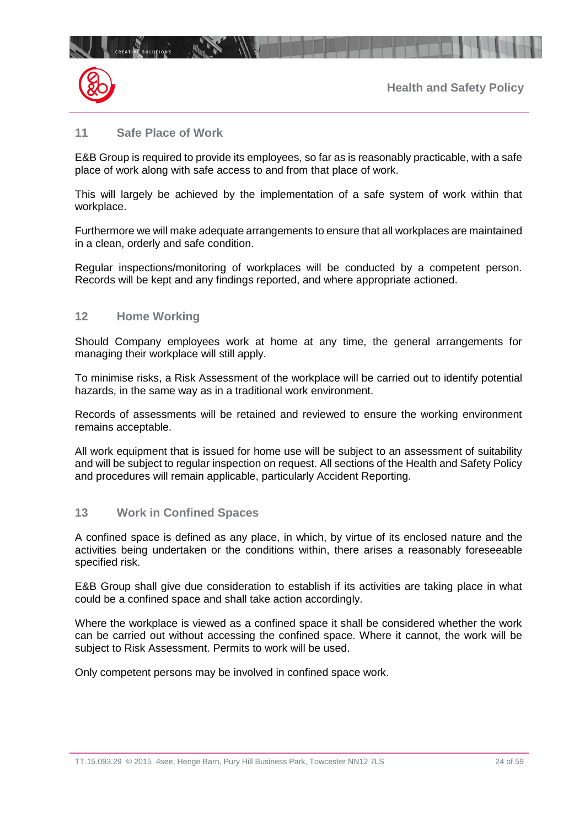

## **11 Safe Place of Work**

**CREATIVE SOLUTIONS** 

 $\mathbb{R}$ 

E&B Group is required to provide its employees, so far as is reasonably practicable, with a safe place of work along with safe access to and from that place of work.

This will largely be achieved by the implementation of a safe system of work within that workplace.

Furthermore we will make adequate arrangements to ensure that all workplaces are maintained in a clean, orderly and safe condition.

Regular inspections/monitoring of workplaces will be conducted by a competent person. Records will be kept and any findings reported, and where appropriate actioned.

#### **12 Home Working**

Should Company employees work at home at any time, the general arrangements for managing their workplace will still apply.

To minimise risks, a Risk Assessment of the workplace will be carried out to identify potential hazards, in the same way as in a traditional work environment.

Records of assessments will be retained and reviewed to ensure the working environment remains acceptable.

All work equipment that is issued for home use will be subject to an assessment of suitability and will be subject to regular inspection on request. All sections of the Health and Safety Policy and procedures will remain applicable, particularly Accident Reporting.

## **13 Work in Confined Spaces**

A confined space is defined as any place, in which, by virtue of its enclosed nature and the activities being undertaken or the conditions within, there arises a reasonably foreseeable specified risk.

E&B Group shall give due consideration to establish if its activities are taking place in what could be a confined space and shall take action accordingly.

Where the workplace is viewed as a confined space it shall be considered whether the work can be carried out without accessing the confined space. Where it cannot, the work will be subject to Risk Assessment. Permits to work will be used.

Only competent persons may be involved in confined space work.

TT.15.093.29 © 2015 4see, Henge Barn, Pury Hill Business Park, Towcester NN12 7LS 24 05 24 of 59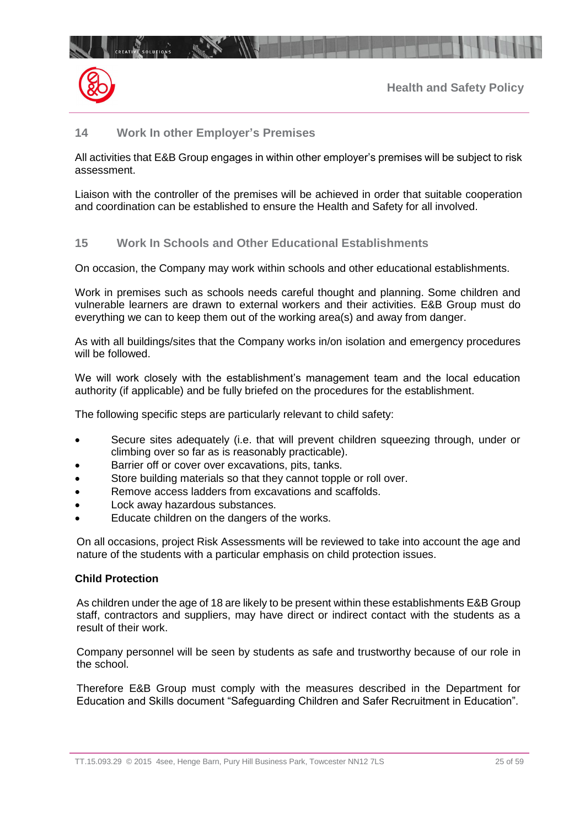

## **14 Work In other Employer's Premises**

All activities that E&B Group engages in within other employer's premises will be subject to risk assessment.

Liaison with the controller of the premises will be achieved in order that suitable cooperation and coordination can be established to ensure the Health and Safety for all involved.

## **15 Work In Schools and Other Educational Establishments**

On occasion, the Company may work within schools and other educational establishments.

Work in premises such as schools needs careful thought and planning. Some children and vulnerable learners are drawn to external workers and their activities. E&B Group must do everything we can to keep them out of the working area(s) and away from danger.

As with all buildings/sites that the Company works in/on isolation and emergency procedures will be followed.

We will work closely with the establishment's management team and the local education authority (if applicable) and be fully briefed on the procedures for the establishment.

The following specific steps are particularly relevant to child safety:

- Secure sites adequately (i.e. that will prevent children squeezing through, under or climbing over so far as is reasonably practicable).
- Barrier off or cover over excavations, pits, tanks.
- Store building materials so that they cannot topple or roll over.
- Remove access ladders from excavations and scaffolds.
- Lock away hazardous substances.
- Educate children on the dangers of the works.

On all occasions, project Risk Assessments will be reviewed to take into account the age and nature of the students with a particular emphasis on child protection issues.

#### **Child Protection**

As children under the age of 18 are likely to be present within these establishments E&B Group staff, contractors and suppliers, may have direct or indirect contact with the students as a result of their work.

Company personnel will be seen by students as safe and trustworthy because of our role in the school.

Therefore E&B Group must comply with the measures described in the Department for Education and Skills document "Safeguarding Children and Safer Recruitment in Education".

TT.15.093.29 © 2015 4see, Henge Barn, Pury Hill Business Park, Towcester NN12 7LS 25 01 25 of 59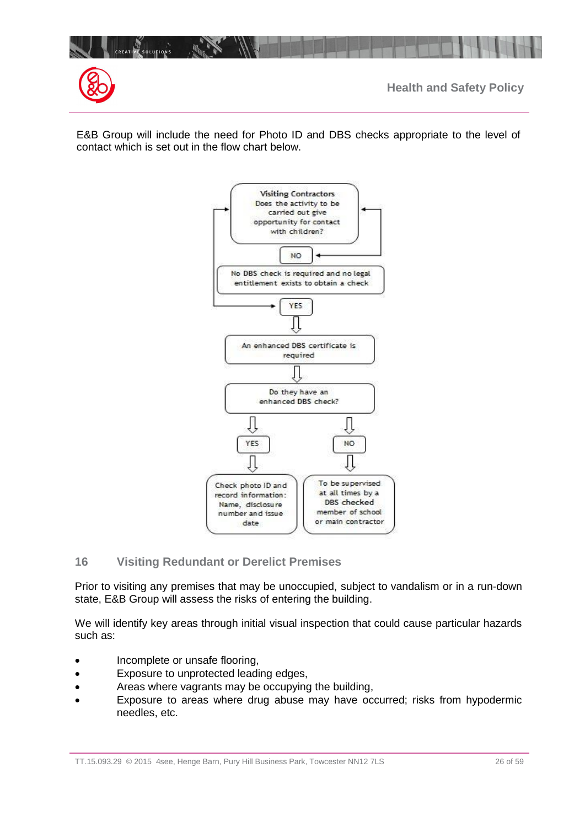

E&B Group will include the need for Photo ID and DBS checks appropriate to the level of contact which is set out in the flow chart below.



## **16 Visiting Redundant or Derelict Premises**

Prior to visiting any premises that may be unoccupied, subject to vandalism or in a run-down state, E&B Group will assess the risks of entering the building.

We will identify key areas through initial visual inspection that could cause particular hazards such as:

- Incomplete or unsafe flooring,
- Exposure to unprotected leading edges,
- Areas where vagrants may be occupying the building,
- Exposure to areas where drug abuse may have occurred; risks from hypodermic needles, etc.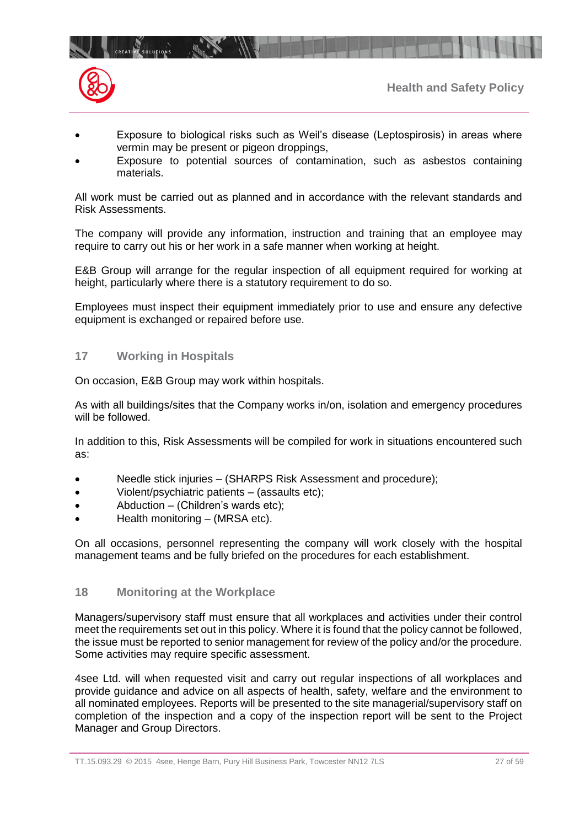



- Exposure to biological risks such as Weil's disease (Leptospirosis) in areas where vermin may be present or pigeon droppings,
- Exposure to potential sources of contamination, such as asbestos containing materials.

All work must be carried out as planned and in accordance with the relevant standards and Risk Assessments.

The company will provide any information, instruction and training that an employee may require to carry out his or her work in a safe manner when working at height.

E&B Group will arrange for the regular inspection of all equipment required for working at height, particularly where there is a statutory requirement to do so.

Employees must inspect their equipment immediately prior to use and ensure any defective equipment is exchanged or repaired before use.

## **17 Working in Hospitals**

On occasion, E&B Group may work within hospitals.

As with all buildings/sites that the Company works in/on, isolation and emergency procedures will be followed.

In addition to this, Risk Assessments will be compiled for work in situations encountered such as:

- Needle stick injuries (SHARPS Risk Assessment and procedure);
- Violent/psychiatric patients (assaults etc);
- Abduction (Children's wards etc);
- Health monitoring (MRSA etc).

On all occasions, personnel representing the company will work closely with the hospital management teams and be fully briefed on the procedures for each establishment.

## **18 Monitoring at the Workplace**

Managers/supervisory staff must ensure that all workplaces and activities under their control meet the requirements set out in this policy. Where it is found that the policy cannot be followed, the issue must be reported to senior management for review of the policy and/or the procedure. Some activities may require specific assessment.

4see Ltd. will when requested visit and carry out regular inspections of all workplaces and provide guidance and advice on all aspects of health, safety, welfare and the environment to all nominated employees. Reports will be presented to the site managerial/supervisory staff on completion of the inspection and a copy of the inspection report will be sent to the Project Manager and Group Directors.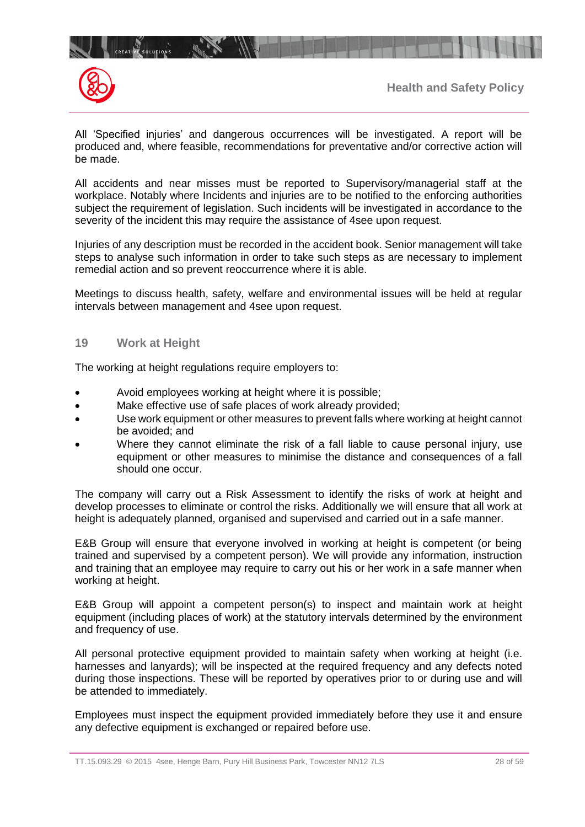

All 'Specified injuries' and dangerous occurrences will be investigated. A report will be produced and, where feasible, recommendations for preventative and/or corrective action will be made.

All accidents and near misses must be reported to Supervisory/managerial staff at the workplace. Notably where Incidents and injuries are to be notified to the enforcing authorities subject the requirement of legislation. Such incidents will be investigated in accordance to the severity of the incident this may require the assistance of 4see upon request.

Injuries of any description must be recorded in the accident book. Senior management will take steps to analyse such information in order to take such steps as are necessary to implement remedial action and so prevent reoccurrence where it is able.

Meetings to discuss health, safety, welfare and environmental issues will be held at regular intervals between management and 4see upon request.

#### **19 Work at Height**

The working at height regulations require employers to:

- Avoid employees working at height where it is possible;
- Make effective use of safe places of work already provided;
- Use work equipment or other measures to prevent falls where working at height cannot be avoided; and
- Where they cannot eliminate the risk of a fall liable to cause personal injury, use equipment or other measures to minimise the distance and consequences of a fall should one occur.

The company will carry out a Risk Assessment to identify the risks of work at height and develop processes to eliminate or control the risks. Additionally we will ensure that all work at height is adequately planned, organised and supervised and carried out in a safe manner.

E&B Group will ensure that everyone involved in working at height is competent (or being trained and supervised by a competent person). We will provide any information, instruction and training that an employee may require to carry out his or her work in a safe manner when working at height.

E&B Group will appoint a competent person(s) to inspect and maintain work at height equipment (including places of work) at the statutory intervals determined by the environment and frequency of use.

All personal protective equipment provided to maintain safety when working at height (i.e. harnesses and lanyards); will be inspected at the required frequency and any defects noted during those inspections. These will be reported by operatives prior to or during use and will be attended to immediately.

Employees must inspect the equipment provided immediately before they use it and ensure any defective equipment is exchanged or repaired before use.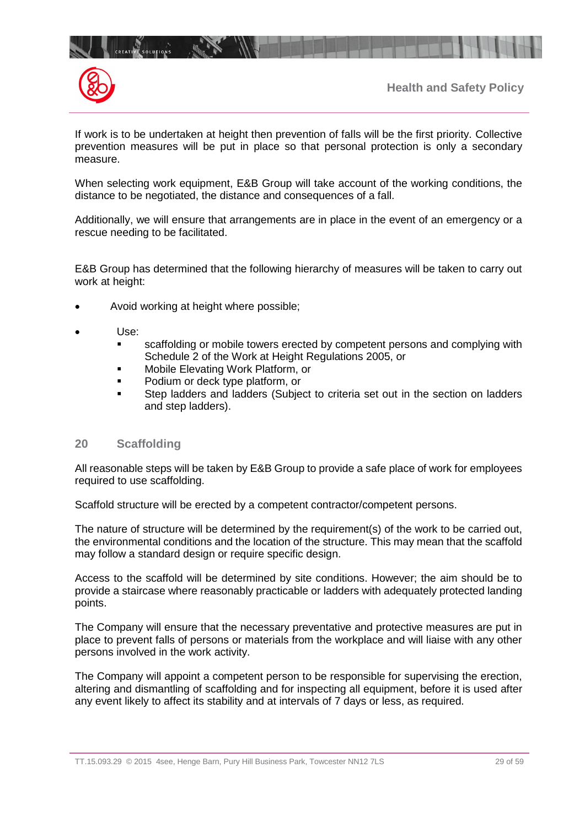



**CREATIVE SOLUTIONS** 

 $\mathbb{R}$ 

If work is to be undertaken at height then prevention of falls will be the first priority. Collective prevention measures will be put in place so that personal protection is only a secondary measure.

When selecting work equipment, E&B Group will take account of the working conditions, the distance to be negotiated, the distance and consequences of a fall.

Additionally, we will ensure that arrangements are in place in the event of an emergency or a rescue needing to be facilitated.

E&B Group has determined that the following hierarchy of measures will be taken to carry out work at height:

- Avoid working at height where possible;
- Use:
	- **Scaffolding or mobile towers erected by competent persons and complying with** Schedule 2 of the Work at Height Regulations 2005, or
	- Mobile Elevating Work Platform, or
	- Podium or deck type platform, or
	- Step ladders and ladders (Subject to criteria set out in the section on ladders and step ladders).

## **20 Scaffolding**

All reasonable steps will be taken by E&B Group to provide a safe place of work for employees required to use scaffolding.

Scaffold structure will be erected by a competent contractor/competent persons.

The nature of structure will be determined by the requirement(s) of the work to be carried out, the environmental conditions and the location of the structure. This may mean that the scaffold may follow a standard design or require specific design.

Access to the scaffold will be determined by site conditions. However; the aim should be to provide a staircase where reasonably practicable or ladders with adequately protected landing points.

The Company will ensure that the necessary preventative and protective measures are put in place to prevent falls of persons or materials from the workplace and will liaise with any other persons involved in the work activity.

The Company will appoint a competent person to be responsible for supervising the erection, altering and dismantling of scaffolding and for inspecting all equipment, before it is used after any event likely to affect its stability and at intervals of 7 days or less, as required.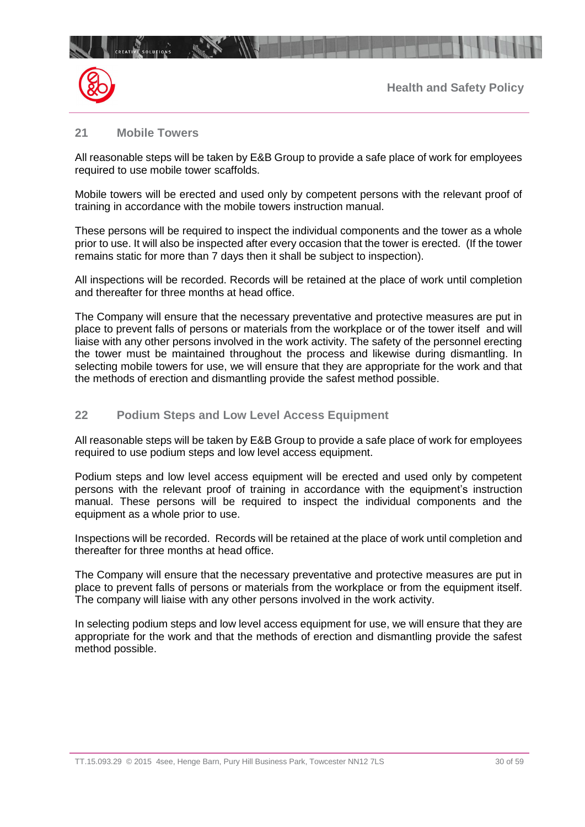

## **21 Mobile Towers**

All reasonable steps will be taken by E&B Group to provide a safe place of work for employees required to use mobile tower scaffolds.

Mobile towers will be erected and used only by competent persons with the relevant proof of training in accordance with the mobile towers instruction manual.

These persons will be required to inspect the individual components and the tower as a whole prior to use. It will also be inspected after every occasion that the tower is erected. (If the tower remains static for more than 7 days then it shall be subject to inspection).

All inspections will be recorded. Records will be retained at the place of work until completion and thereafter for three months at head office.

The Company will ensure that the necessary preventative and protective measures are put in place to prevent falls of persons or materials from the workplace or of the tower itself and will liaise with any other persons involved in the work activity. The safety of the personnel erecting the tower must be maintained throughout the process and likewise during dismantling. In selecting mobile towers for use, we will ensure that they are appropriate for the work and that the methods of erection and dismantling provide the safest method possible.

## **22 Podium Steps and Low Level Access Equipment**

All reasonable steps will be taken by E&B Group to provide a safe place of work for employees required to use podium steps and low level access equipment.

Podium steps and low level access equipment will be erected and used only by competent persons with the relevant proof of training in accordance with the equipment's instruction manual. These persons will be required to inspect the individual components and the equipment as a whole prior to use.

Inspections will be recorded. Records will be retained at the place of work until completion and thereafter for three months at head office.

The Company will ensure that the necessary preventative and protective measures are put in place to prevent falls of persons or materials from the workplace or from the equipment itself. The company will liaise with any other persons involved in the work activity.

In selecting podium steps and low level access equipment for use, we will ensure that they are appropriate for the work and that the methods of erection and dismantling provide the safest method possible.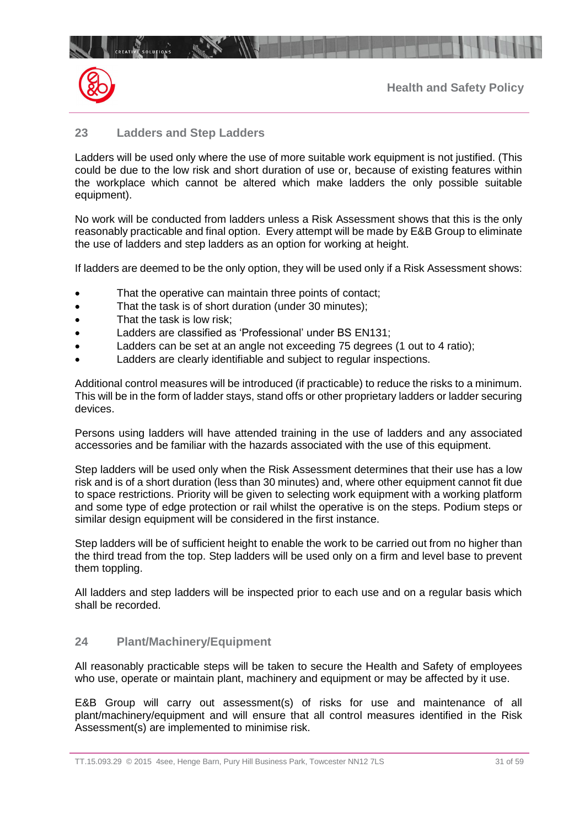

## **23 Ladders and Step Ladders**

CREATIVE SOLUTIONS INTERNATION

Ladders will be used only where the use of more suitable work equipment is not justified. (This could be due to the low risk and short duration of use or, because of existing features within the workplace which cannot be altered which make ladders the only possible suitable equipment).

No work will be conducted from ladders unless a Risk Assessment shows that this is the only reasonably practicable and final option. Every attempt will be made by E&B Group to eliminate the use of ladders and step ladders as an option for working at height.

If ladders are deemed to be the only option, they will be used only if a Risk Assessment shows:

- That the operative can maintain three points of contact;
- That the task is of short duration (under 30 minutes);
- That the task is low risk:
- Ladders are classified as 'Professional' under BS EN131;
- Ladders can be set at an angle not exceeding 75 degrees (1 out to 4 ratio);
- Ladders are clearly identifiable and subject to regular inspections.

Additional control measures will be introduced (if practicable) to reduce the risks to a minimum. This will be in the form of ladder stays, stand offs or other proprietary ladders or ladder securing devices.

Persons using ladders will have attended training in the use of ladders and any associated accessories and be familiar with the hazards associated with the use of this equipment.

Step ladders will be used only when the Risk Assessment determines that their use has a low risk and is of a short duration (less than 30 minutes) and, where other equipment cannot fit due to space restrictions. Priority will be given to selecting work equipment with a working platform and some type of edge protection or rail whilst the operative is on the steps. Podium steps or similar design equipment will be considered in the first instance.

Step ladders will be of sufficient height to enable the work to be carried out from no higher than the third tread from the top. Step ladders will be used only on a firm and level base to prevent them toppling.

All ladders and step ladders will be inspected prior to each use and on a regular basis which shall be recorded.

## **24 Plant/Machinery/Equipment**

All reasonably practicable steps will be taken to secure the Health and Safety of employees who use, operate or maintain plant, machinery and equipment or may be affected by it use.

E&B Group will carry out assessment(s) of risks for use and maintenance of all plant/machinery/equipment and will ensure that all control measures identified in the Risk Assessment(s) are implemented to minimise risk.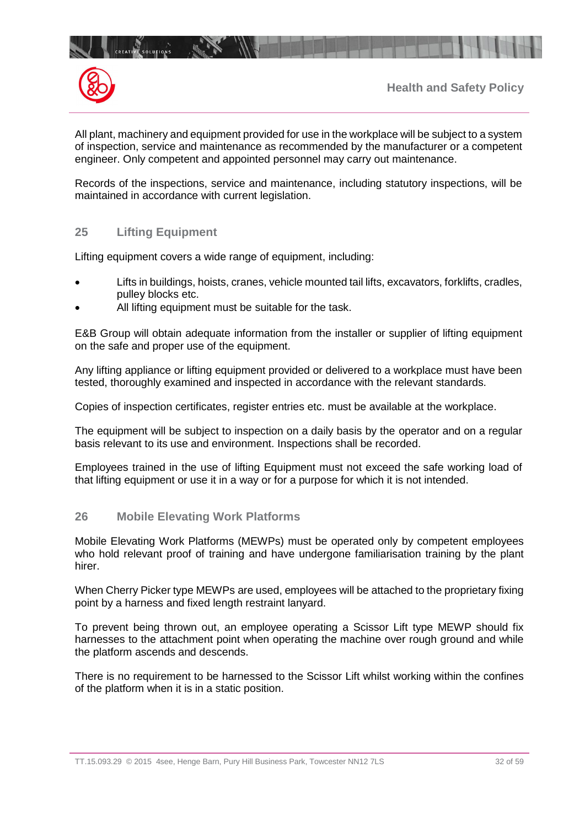



All plant, machinery and equipment provided for use in the workplace will be subject to a system of inspection, service and maintenance as recommended by the manufacturer or a competent engineer. Only competent and appointed personnel may carry out maintenance.

Records of the inspections, service and maintenance, including statutory inspections, will be maintained in accordance with current legislation.

## **25 Lifting Equipment**

**CREATIVE SOLUTIONS** 

 $\mathbb{R}$ 

Lifting equipment covers a wide range of equipment, including:

- Lifts in buildings, hoists, cranes, vehicle mounted tail lifts, excavators, forklifts, cradles, pulley blocks etc.
- All lifting equipment must be suitable for the task.

E&B Group will obtain adequate information from the installer or supplier of lifting equipment on the safe and proper use of the equipment.

Any lifting appliance or lifting equipment provided or delivered to a workplace must have been tested, thoroughly examined and inspected in accordance with the relevant standards.

Copies of inspection certificates, register entries etc. must be available at the workplace.

The equipment will be subject to inspection on a daily basis by the operator and on a regular basis relevant to its use and environment. Inspections shall be recorded.

Employees trained in the use of lifting Equipment must not exceed the safe working load of that lifting equipment or use it in a way or for a purpose for which it is not intended.

## **26 Mobile Elevating Work Platforms**

Mobile Elevating Work Platforms (MEWPs) must be operated only by competent employees who hold relevant proof of training and have undergone familiarisation training by the plant hirer.

When Cherry Picker type MEWPs are used, employees will be attached to the proprietary fixing point by a harness and fixed length restraint lanyard.

To prevent being thrown out, an employee operating a Scissor Lift type MEWP should fix harnesses to the attachment point when operating the machine over rough ground and while the platform ascends and descends.

There is no requirement to be harnessed to the Scissor Lift whilst working within the confines of the platform when it is in a static position.

TT.15.093.29 © 2015 4see, Henge Barn, Pury Hill Business Park, Towcester NN12 7LS 32 05 32 of 59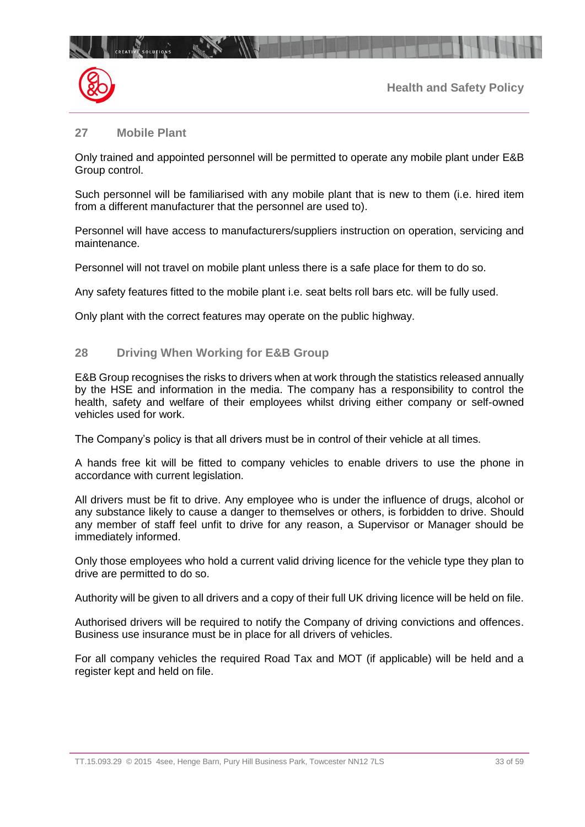

## **27 Mobile Plant**

CREATIVE SOLUTIONS

Only trained and appointed personnel will be permitted to operate any mobile plant under E&B Group control.

Such personnel will be familiarised with any mobile plant that is new to them (i.e. hired item from a different manufacturer that the personnel are used to).

Personnel will have access to manufacturers/suppliers instruction on operation, servicing and maintenance.

Personnel will not travel on mobile plant unless there is a safe place for them to do so.

Any safety features fitted to the mobile plant i.e. seat belts roll bars etc. will be fully used.

Only plant with the correct features may operate on the public highway.

## **28 Driving When Working for E&B Group**

E&B Group recognises the risks to drivers when at work through the statistics released annually by the HSE and information in the media. The company has a responsibility to control the health, safety and welfare of their employees whilst driving either company or self-owned vehicles used for work.

The Company's policy is that all drivers must be in control of their vehicle at all times.

A hands free kit will be fitted to company vehicles to enable drivers to use the phone in accordance with current legislation.

All drivers must be fit to drive. Any employee who is under the influence of drugs, alcohol or any substance likely to cause a danger to themselves or others, is forbidden to drive. Should any member of staff feel unfit to drive for any reason, a Supervisor or Manager should be immediately informed.

Only those employees who hold a current valid driving licence for the vehicle type they plan to drive are permitted to do so.

Authority will be given to all drivers and a copy of their full UK driving licence will be held on file.

Authorised drivers will be required to notify the Company of driving convictions and offences. Business use insurance must be in place for all drivers of vehicles.

For all company vehicles the required Road Tax and MOT (if applicable) will be held and a register kept and held on file.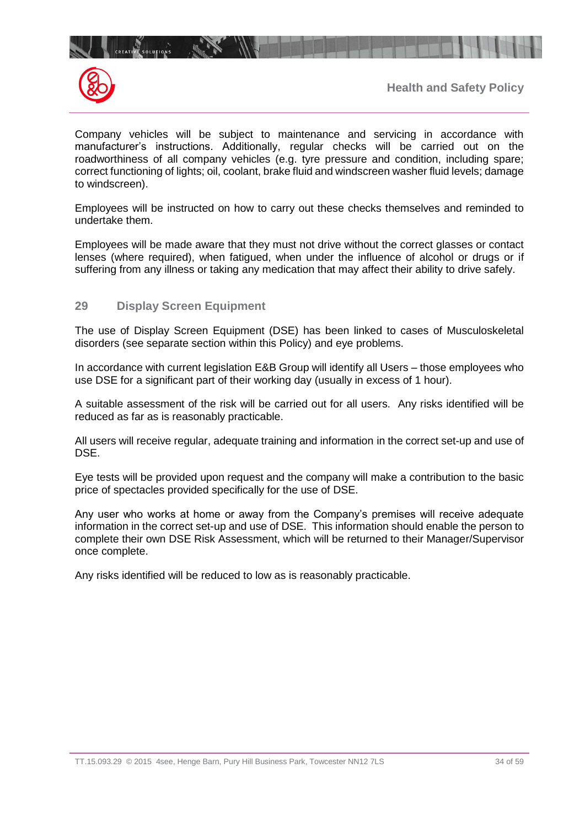



Company vehicles will be subject to maintenance and servicing in accordance with manufacturer's instructions. Additionally, regular checks will be carried out on the roadworthiness of all company vehicles (e.g. tyre pressure and condition, including spare; correct functioning of lights; oil, coolant, brake fluid and windscreen washer fluid levels; damage to windscreen).

Employees will be instructed on how to carry out these checks themselves and reminded to undertake them.

Employees will be made aware that they must not drive without the correct glasses or contact lenses (where required), when fatigued, when under the influence of alcohol or drugs or if suffering from any illness or taking any medication that may affect their ability to drive safely.

## **29 Display Screen Equipment**

 $\mathbb{R}^n$ 

The use of Display Screen Equipment (DSE) has been linked to cases of Musculoskeletal disorders (see separate section within this Policy) and eye problems.

In accordance with current legislation E&B Group will identify all Users – those employees who use DSE for a significant part of their working day (usually in excess of 1 hour).

A suitable assessment of the risk will be carried out for all users. Any risks identified will be reduced as far as is reasonably practicable.

All users will receive regular, adequate training and information in the correct set-up and use of DSE.

Eye tests will be provided upon request and the company will make a contribution to the basic price of spectacles provided specifically for the use of DSE.

Any user who works at home or away from the Company's premises will receive adequate information in the correct set-up and use of DSE. This information should enable the person to complete their own DSE Risk Assessment, which will be returned to their Manager/Supervisor once complete.

Any risks identified will be reduced to low as is reasonably practicable.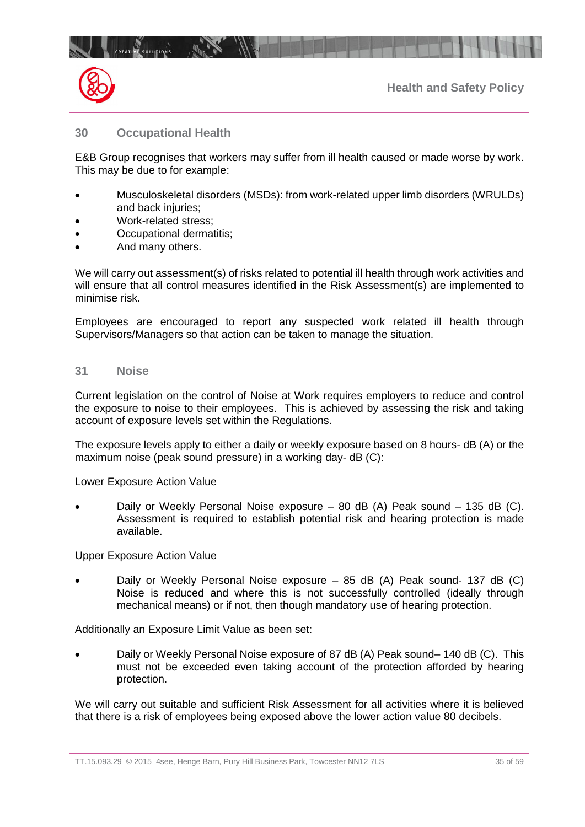

## **30 Occupational Health**

E&B Group recognises that workers may suffer from ill health caused or made worse by work. This may be due to for example:

- Musculoskeletal disorders (MSDs): from work-related upper limb disorders (WRULDs) and back injuries;
- Work-related stress;
- Occupational dermatitis;
- And many others.

We will carry out assessment(s) of risks related to potential ill health through work activities and will ensure that all control measures identified in the Risk Assessment(s) are implemented to minimise risk.

Employees are encouraged to report any suspected work related ill health through Supervisors/Managers so that action can be taken to manage the situation.

#### **31 Noise**

Current legislation on the control of Noise at Work requires employers to reduce and control the exposure to noise to their employees. This is achieved by assessing the risk and taking account of exposure levels set within the Regulations.

The exposure levels apply to either a daily or weekly exposure based on 8 hours- dB (A) or the maximum noise (peak sound pressure) in a working day- dB (C):

Lower Exposure Action Value

• Daily or Weekly Personal Noise exposure – 80 dB (A) Peak sound – 135 dB (C). Assessment is required to establish potential risk and hearing protection is made available.

Upper Exposure Action Value

• Daily or Weekly Personal Noise exposure – 85 dB (A) Peak sound- 137 dB (C) Noise is reduced and where this is not successfully controlled (ideally through mechanical means) or if not, then though mandatory use of hearing protection.

Additionally an Exposure Limit Value as been set:

• Daily or Weekly Personal Noise exposure of 87 dB (A) Peak sound– 140 dB (C). This must not be exceeded even taking account of the protection afforded by hearing protection.

We will carry out suitable and sufficient Risk Assessment for all activities where it is believed that there is a risk of employees being exposed above the lower action value 80 decibels.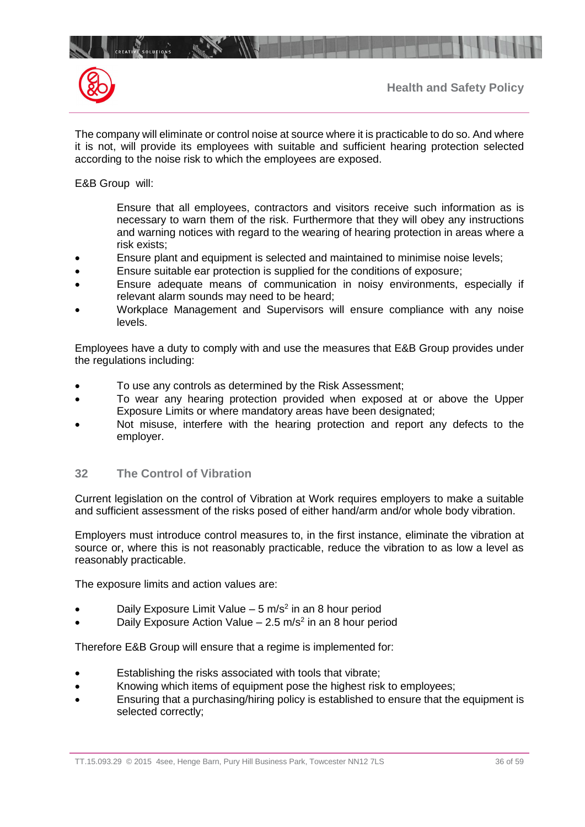



The company will eliminate or control noise at source where it is practicable to do so. And where it is not, will provide its employees with suitable and sufficient hearing protection selected according to the noise risk to which the employees are exposed.

E&B Group will:

Ensure that all employees, contractors and visitors receive such information as is necessary to warn them of the risk. Furthermore that they will obey any instructions and warning notices with regard to the wearing of hearing protection in areas where a risk exists;

- Ensure plant and equipment is selected and maintained to minimise noise levels;
- Ensure suitable ear protection is supplied for the conditions of exposure;
- Ensure adequate means of communication in noisy environments, especially if relevant alarm sounds may need to be heard;
- Workplace Management and Supervisors will ensure compliance with any noise levels.

Employees have a duty to comply with and use the measures that E&B Group provides under the regulations including:

- To use any controls as determined by the Risk Assessment;
- To wear any hearing protection provided when exposed at or above the Upper Exposure Limits or where mandatory areas have been designated;
- Not misuse, interfere with the hearing protection and report any defects to the employer.

## **32 The Control of Vibration**

Current legislation on the control of Vibration at Work requires employers to make a suitable and sufficient assessment of the risks posed of either hand/arm and/or whole body vibration.

Employers must introduce control measures to, in the first instance, eliminate the vibration at source or, where this is not reasonably practicable, reduce the vibration to as low a level as reasonably practicable.

The exposure limits and action values are:

- Daily Exposure Limit Value  $-5$  m/s<sup>2</sup> in an 8 hour period
- Daily Exposure Action Value  $-2.5$  m/s<sup>2</sup> in an 8 hour period

Therefore E&B Group will ensure that a regime is implemented for:

- Establishing the risks associated with tools that vibrate;
- Knowing which items of equipment pose the highest risk to employees;
- Ensuring that a purchasing/hiring policy is established to ensure that the equipment is selected correctly;

TT.15.093.29 © 2015 4see, Henge Barn, Pury Hill Business Park, Towcester NN12 7LS 36 of 59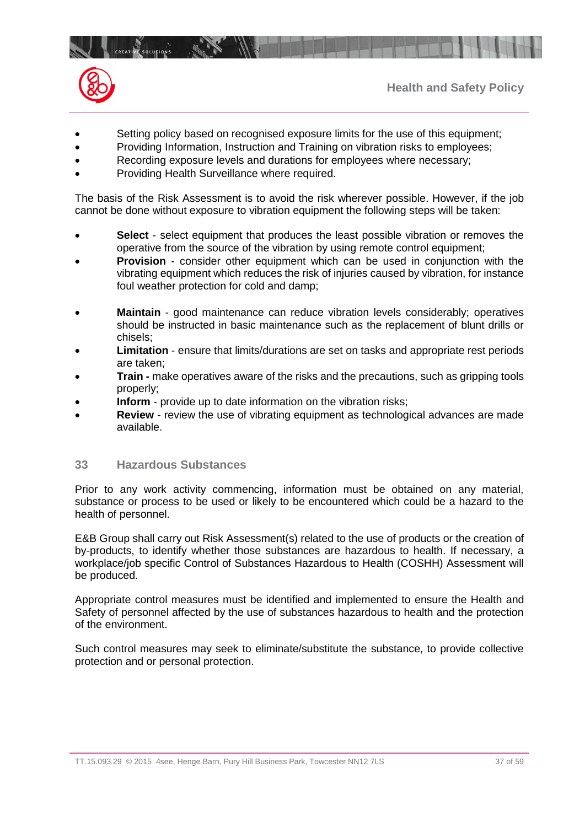

- Setting policy based on recognised exposure limits for the use of this equipment;
- Providing Information, Instruction and Training on vibration risks to employees;
- Recording exposure levels and durations for employees where necessary;
- Providing Health Surveillance where required.

CREATIVE SOLUTIONS INTERNATION

The basis of the Risk Assessment is to avoid the risk wherever possible. However, if the job cannot be done without exposure to vibration equipment the following steps will be taken:

- **Select** select equipment that produces the least possible vibration or removes the operative from the source of the vibration by using remote control equipment;
- **Provision** consider other equipment which can be used in conjunction with the vibrating equipment which reduces the risk of injuries caused by vibration, for instance foul weather protection for cold and damp;
- **Maintain** good maintenance can reduce vibration levels considerably; operatives should be instructed in basic maintenance such as the replacement of blunt drills or chisels;
- **Limitation**  ensure that limits/durations are set on tasks and appropriate rest periods are taken;
- **Train -** make operatives aware of the risks and the precautions, such as gripping tools properly;
- **Inform** provide up to date information on the vibration risks;
- **Review** review the use of vibrating equipment as technological advances are made available.

## **33 Hazardous Substances**

Prior to any work activity commencing, information must be obtained on any material, substance or process to be used or likely to be encountered which could be a hazard to the health of personnel.

E&B Group shall carry out Risk Assessment(s) related to the use of products or the creation of by-products, to identify whether those substances are hazardous to health. If necessary, a workplace/job specific Control of Substances Hazardous to Health (COSHH) Assessment will be produced.

Appropriate control measures must be identified and implemented to ensure the Health and Safety of personnel affected by the use of substances hazardous to health and the protection of the environment.

Such control measures may seek to eliminate/substitute the substance, to provide collective protection and or personal protection.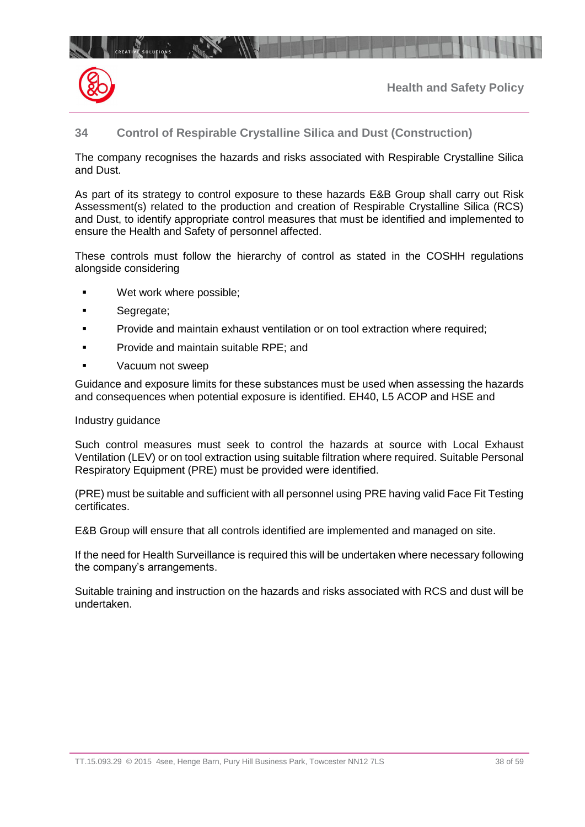# **34 Control of Respirable Crystalline Silica and Dust (Construction)**

The company recognises the hazards and risks associated with Respirable Crystalline Silica and Dust.

As part of its strategy to control exposure to these hazards E&B Group shall carry out Risk Assessment(s) related to the production and creation of Respirable Crystalline Silica (RCS) and Dust, to identify appropriate control measures that must be identified and implemented to ensure the Health and Safety of personnel affected.

These controls must follow the hierarchy of control as stated in the COSHH regulations alongside considering

- Wet work where possible;
- Segregate;
- Provide and maintain exhaust ventilation or on tool extraction where required;
- Provide and maintain suitable RPE; and
- Vacuum not sweep

**CREATIVE SOLUTIONS** 

**The Pine Pine Pine** 

Guidance and exposure limits for these substances must be used when assessing the hazards and consequences when potential exposure is identified. EH40, L5 ACOP and HSE and

#### Industry guidance

Such control measures must seek to control the hazards at source with Local Exhaust Ventilation (LEV) or on tool extraction using suitable filtration where required. Suitable Personal Respiratory Equipment (PRE) must be provided were identified.

(PRE) must be suitable and sufficient with all personnel using PRE having valid Face Fit Testing certificates.

E&B Group will ensure that all controls identified are implemented and managed on site.

If the need for Health Surveillance is required this will be undertaken where necessary following the company's arrangements.

Suitable training and instruction on the hazards and risks associated with RCS and dust will be undertaken.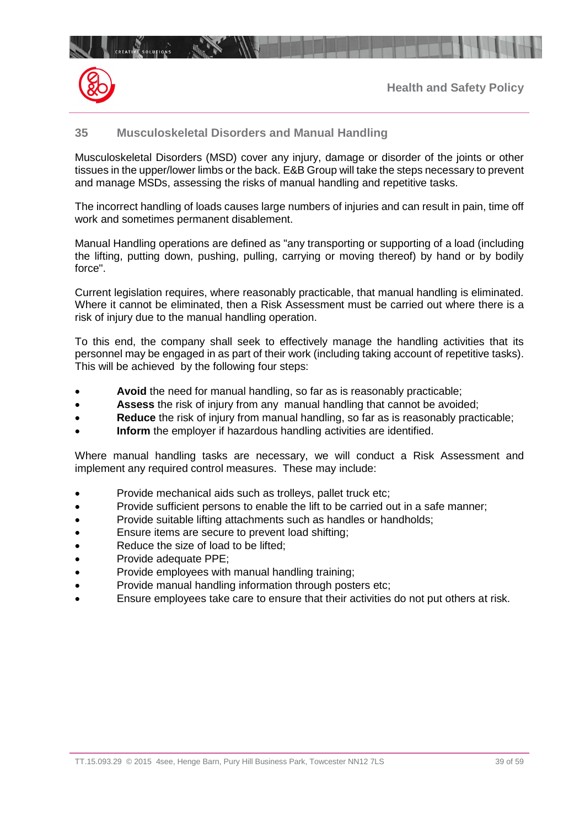

## **35 Musculoskeletal Disorders and Manual Handling**

Musculoskeletal Disorders (MSD) cover any injury, damage or disorder of the joints or other tissues in the upper/lower limbs or the back. E&B Group will take the steps necessary to prevent and manage MSDs, assessing the risks of manual handling and repetitive tasks.

The incorrect handling of loads causes large numbers of injuries and can result in pain, time off work and sometimes permanent disablement.

Manual Handling operations are defined as "any transporting or supporting of a load (including the lifting, putting down, pushing, pulling, carrying or moving thereof) by hand or by bodily force".

Current legislation requires, where reasonably practicable, that manual handling is eliminated. Where it cannot be eliminated, then a Risk Assessment must be carried out where there is a risk of injury due to the manual handling operation.

To this end, the company shall seek to effectively manage the handling activities that its personnel may be engaged in as part of their work (including taking account of repetitive tasks). This will be achieved by the following four steps:

- **Avoid** the need for manual handling, so far as is reasonably practicable;
- **Assess** the risk of injury from any manual handling that cannot be avoided;
- **Reduce** the risk of injury from manual handling, so far as is reasonably practicable;
- **Inform** the employer if hazardous handling activities are identified.

Where manual handling tasks are necessary, we will conduct a Risk Assessment and implement any required control measures. These may include:

- Provide mechanical aids such as trolleys, pallet truck etc;
- Provide sufficient persons to enable the lift to be carried out in a safe manner;
- Provide suitable lifting attachments such as handles or handholds;
- Ensure items are secure to prevent load shifting;
- Reduce the size of load to be lifted:
- Provide adequate PPE;
- Provide employees with manual handling training;
- Provide manual handling information through posters etc;
- Ensure employees take care to ensure that their activities do not put others at risk.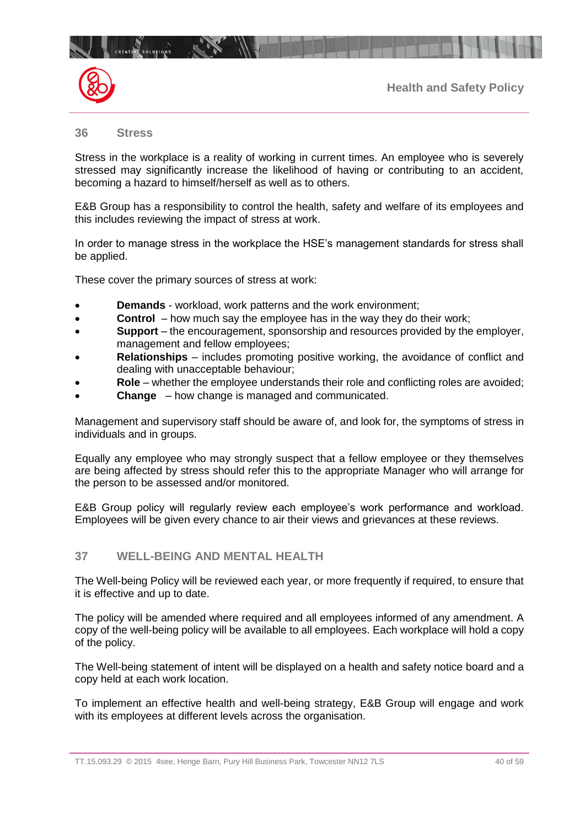



#### **36 Stress**

CREATIVE SOLUTIONS

Stress in the workplace is a reality of working in current times. An employee who is severely stressed may significantly increase the likelihood of having or contributing to an accident, becoming a hazard to himself/herself as well as to others.

E&B Group has a responsibility to control the health, safety and welfare of its employees and this includes reviewing the impact of stress at work.

In order to manage stress in the workplace the HSE's management standards for stress shall be applied.

These cover the primary sources of stress at work:

- **Demands** workload, work patterns and the work environment;
- **Control** how much say the employee has in the way they do their work;
- **Support** the encouragement, sponsorship and resources provided by the employer, management and fellow employees;
- **Relationships** includes promoting positive working, the avoidance of conflict and dealing with unacceptable behaviour;
- **Role** whether the employee understands their role and conflicting roles are avoided;
- **Change** how change is managed and communicated.

Management and supervisory staff should be aware of, and look for, the symptoms of stress in individuals and in groups.

Equally any employee who may strongly suspect that a fellow employee or they themselves are being affected by stress should refer this to the appropriate Manager who will arrange for the person to be assessed and/or monitored.

E&B Group policy will regularly review each employee's work performance and workload. Employees will be given every chance to air their views and grievances at these reviews.

## **37 WELL-BEING AND MENTAL HEALTH**

The Well-being Policy will be reviewed each year, or more frequently if required, to ensure that it is effective and up to date.

The policy will be amended where required and all employees informed of any amendment. A copy of the well-being policy will be available to all employees. Each workplace will hold a copy of the policy.

The Well-being statement of intent will be displayed on a health and safety notice board and a copy held at each work location.

To implement an effective health and well-being strategy, E&B Group will engage and work with its employees at different levels across the organisation.

TT.15.093.29 © 2015 4see, Henge Barn, Pury Hill Business Park, Towcester NN12 7LS 40 to 59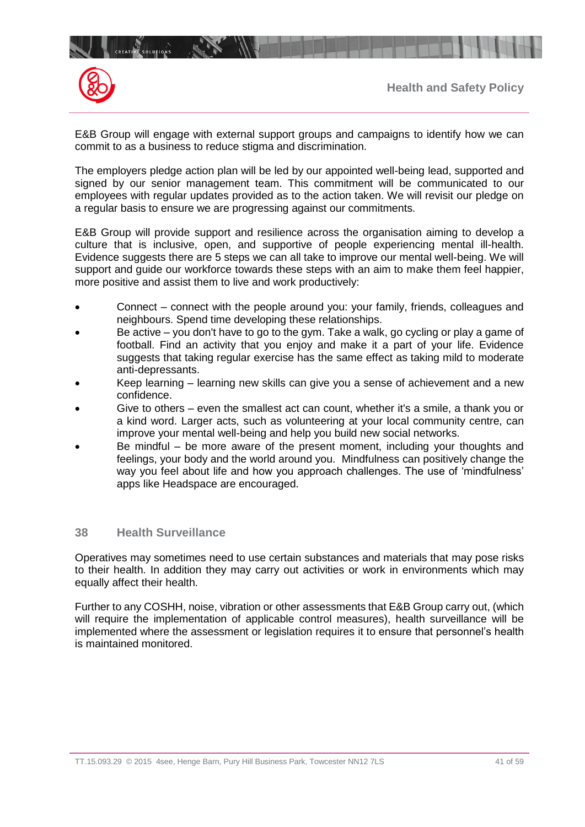

E&B Group will engage with external support groups and campaigns to identify how we can commit to as a business to reduce stigma and discrimination.

The employers pledge action plan will be led by our appointed well-being lead, supported and signed by our senior management team. This commitment will be communicated to our employees with regular updates provided as to the action taken. We will revisit our pledge on a regular basis to ensure we are progressing against our commitments.

E&B Group will provide support and resilience across the organisation aiming to develop a culture that is inclusive, open, and supportive of people experiencing mental ill-health. Evidence suggests there are 5 steps we can all take to improve our mental well-being. We will support and guide our workforce towards these steps with an aim to make them feel happier, more positive and assist them to live and work productively:

- Connect connect with the people around you: your family, friends, colleagues and neighbours. Spend time developing these relationships.
- Be active you don't have to go to the gym. Take a walk, go cycling or play a game of football. Find an activity that you enjoy and make it a part of your life. Evidence suggests that taking regular exercise has the same effect as taking mild to moderate anti-depressants.
- Keep learning learning new skills can give you a sense of achievement and a new confidence.
- Give to others even the smallest act can count, whether it's a smile, a thank you or a kind word. Larger acts, such as volunteering at your local community centre, can improve your mental well-being and help you build new social networks.
- Be mindful  $-$  be more aware of the present moment, including your thoughts and feelings, your body and the world around you. Mindfulness can positively change the way you feel about life and how you approach challenges. The use of 'mindfulness' apps like Headspace are encouraged.

## **38 Health Surveillance**

Operatives may sometimes need to use certain substances and materials that may pose risks to their health. In addition they may carry out activities or work in environments which may equally affect their health.

Further to any COSHH, noise, vibration or other assessments that E&B Group carry out, (which will require the implementation of applicable control measures), health surveillance will be implemented where the assessment or legislation requires it to ensure that personnel's health is maintained monitored.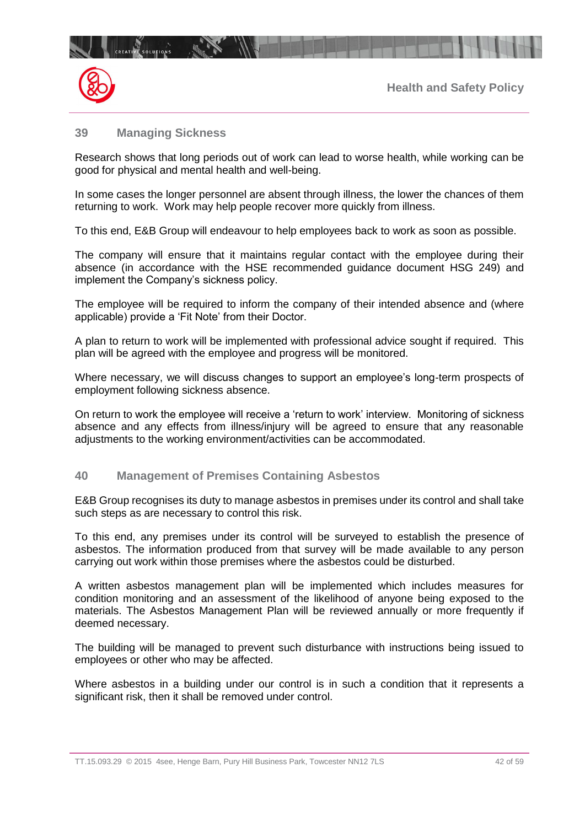

## **39 Managing Sickness**

CREATIVE SOLUTIONS

Research shows that long periods out of work can lead to worse health, while working can be good for physical and mental health and well-being.

In some cases the longer personnel are absent through illness, the lower the chances of them returning to work. Work may help people recover more quickly from illness.

To this end, E&B Group will endeavour to help employees back to work as soon as possible.

The company will ensure that it maintains regular contact with the employee during their absence (in accordance with the HSE recommended guidance document HSG 249) and implement the Company's sickness policy.

The employee will be required to inform the company of their intended absence and (where applicable) provide a 'Fit Note' from their Doctor.

A plan to return to work will be implemented with professional advice sought if required. This plan will be agreed with the employee and progress will be monitored.

Where necessary, we will discuss changes to support an employee's long-term prospects of employment following sickness absence.

On return to work the employee will receive a 'return to work' interview. Monitoring of sickness absence and any effects from illness/injury will be agreed to ensure that any reasonable adjustments to the working environment/activities can be accommodated.

#### **40 Management of Premises Containing Asbestos**

E&B Group recognises its duty to manage asbestos in premises under its control and shall take such steps as are necessary to control this risk.

To this end, any premises under its control will be surveyed to establish the presence of asbestos. The information produced from that survey will be made available to any person carrying out work within those premises where the asbestos could be disturbed.

A written asbestos management plan will be implemented which includes measures for condition monitoring and an assessment of the likelihood of anyone being exposed to the materials. The Asbestos Management Plan will be reviewed annually or more frequently if deemed necessary.

The building will be managed to prevent such disturbance with instructions being issued to employees or other who may be affected.

Where asbestos in a building under our control is in such a condition that it represents a significant risk, then it shall be removed under control.

TT.15.093.29 © 2015 4see, Henge Barn, Pury Hill Business Park, Towcester NN12 7LS 42 05 42 of 59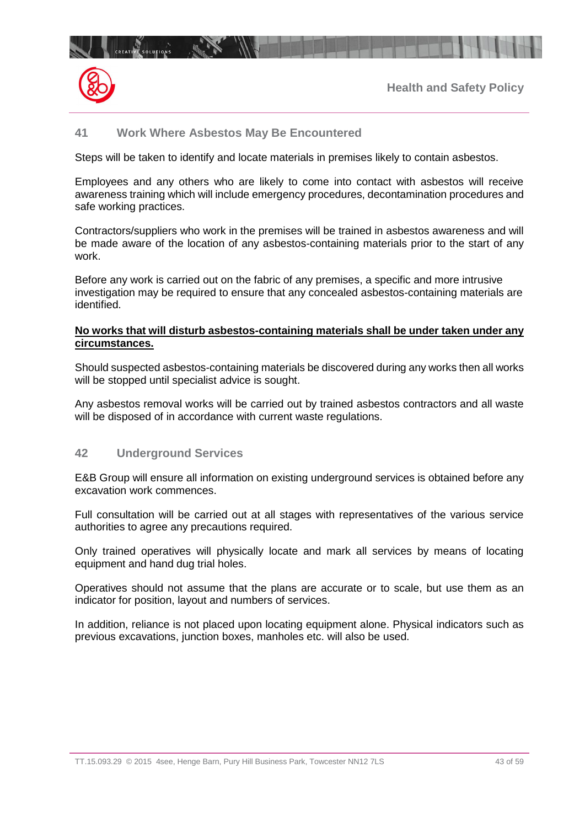## **41 Work Where Asbestos May Be Encountered**

 $\mathbb{R}$ 

**CREATIVE SOLUTIONS** 

Steps will be taken to identify and locate materials in premises likely to contain asbestos.

Employees and any others who are likely to come into contact with asbestos will receive awareness training which will include emergency procedures, decontamination procedures and safe working practices.

Contractors/suppliers who work in the premises will be trained in asbestos awareness and will be made aware of the location of any asbestos-containing materials prior to the start of any work.

Before any work is carried out on the fabric of any premises, a specific and more intrusive investigation may be required to ensure that any concealed asbestos-containing materials are identified.

#### **No works that will disturb asbestos-containing materials shall be under taken under any circumstances.**

Should suspected asbestos-containing materials be discovered during any works then all works will be stopped until specialist advice is sought.

Any asbestos removal works will be carried out by trained asbestos contractors and all waste will be disposed of in accordance with current waste regulations.

## **42 Underground Services**

E&B Group will ensure all information on existing underground services is obtained before any excavation work commences.

Full consultation will be carried out at all stages with representatives of the various service authorities to agree any precautions required.

Only trained operatives will physically locate and mark all services by means of locating equipment and hand dug trial holes.

Operatives should not assume that the plans are accurate or to scale, but use them as an indicator for position, layout and numbers of services.

In addition, reliance is not placed upon locating equipment alone. Physical indicators such as previous excavations, junction boxes, manholes etc. will also be used.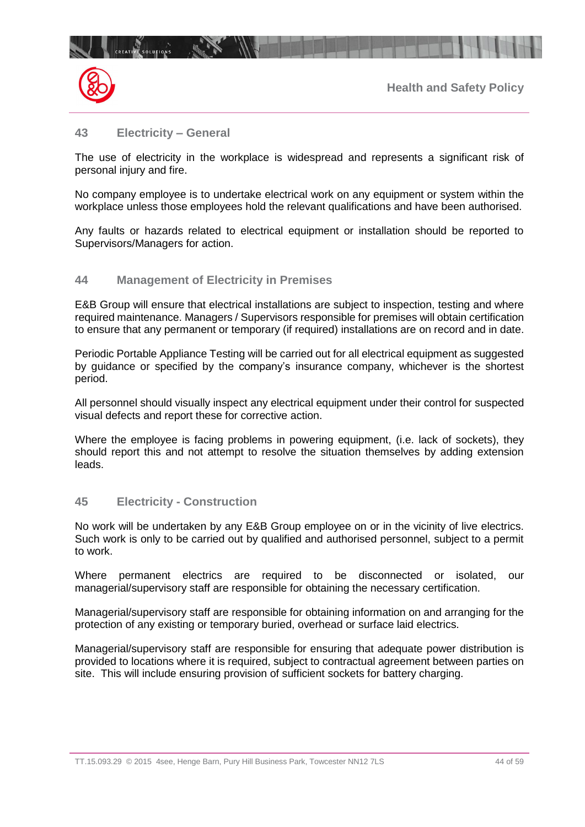

## **43 Electricity – General**

The use of electricity in the workplace is widespread and represents a significant risk of personal injury and fire.

No company employee is to undertake electrical work on any equipment or system within the workplace unless those employees hold the relevant qualifications and have been authorised.

Any faults or hazards related to electrical equipment or installation should be reported to Supervisors/Managers for action.

#### **44 Management of Electricity in Premises**

 $10^{14}$ 

E&B Group will ensure that electrical installations are subject to inspection, testing and where required maintenance. Managers / Supervisors responsible for premises will obtain certification to ensure that any permanent or temporary (if required) installations are on record and in date.

Periodic Portable Appliance Testing will be carried out for all electrical equipment as suggested by guidance or specified by the company's insurance company, whichever is the shortest period.

All personnel should visually inspect any electrical equipment under their control for suspected visual defects and report these for corrective action.

Where the employee is facing problems in powering equipment, (i.e. lack of sockets), they should report this and not attempt to resolve the situation themselves by adding extension leads.

## **45 Electricity - Construction**

No work will be undertaken by any E&B Group employee on or in the vicinity of live electrics. Such work is only to be carried out by qualified and authorised personnel, subject to a permit to work.

Where permanent electrics are required to be disconnected or isolated, our managerial/supervisory staff are responsible for obtaining the necessary certification.

Managerial/supervisory staff are responsible for obtaining information on and arranging for the protection of any existing or temporary buried, overhead or surface laid electrics.

Managerial/supervisory staff are responsible for ensuring that adequate power distribution is provided to locations where it is required, subject to contractual agreement between parties on site. This will include ensuring provision of sufficient sockets for battery charging.

TT.15.093.29 © 2015 4see, Henge Barn, Pury Hill Business Park, Towcester NN12 7LS 44 05 44 of 59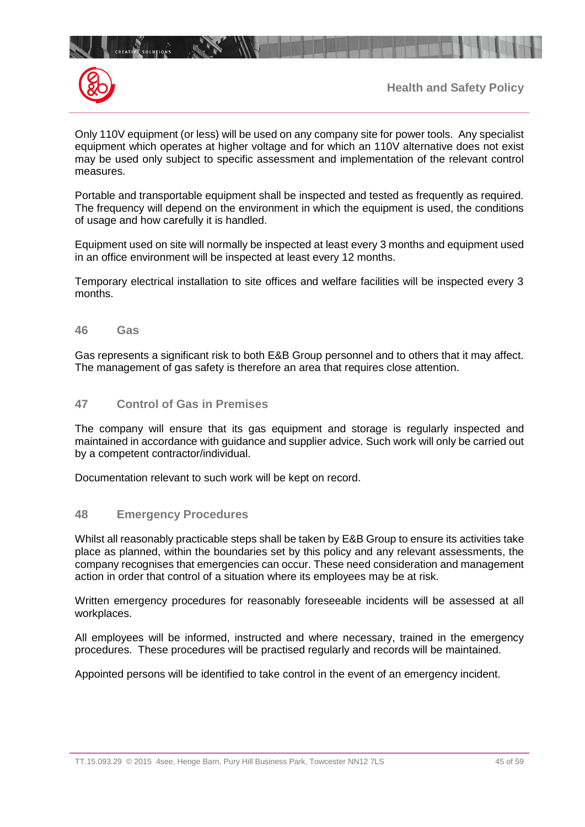



 $\mathbb{R}$ 

Only 110V equipment (or less) will be used on any company site for power tools. Any specialist equipment which operates at higher voltage and for which an 110V alternative does not exist may be used only subject to specific assessment and implementation of the relevant control measures.

Portable and transportable equipment shall be inspected and tested as frequently as required. The frequency will depend on the environment in which the equipment is used, the conditions of usage and how carefully it is handled.

Equipment used on site will normally be inspected at least every 3 months and equipment used in an office environment will be inspected at least every 12 months.

Temporary electrical installation to site offices and welfare facilities will be inspected every 3 months.

**46 Gas**

Gas represents a significant risk to both E&B Group personnel and to others that it may affect. The management of gas safety is therefore an area that requires close attention.

## **47 Control of Gas in Premises**

The company will ensure that its gas equipment and storage is regularly inspected and maintained in accordance with guidance and supplier advice. Such work will only be carried out by a competent contractor/individual.

Documentation relevant to such work will be kept on record.

#### **48 Emergency Procedures**

Whilst all reasonably practicable steps shall be taken by E&B Group to ensure its activities take place as planned, within the boundaries set by this policy and any relevant assessments, the company recognises that emergencies can occur. These need consideration and management action in order that control of a situation where its employees may be at risk.

Written emergency procedures for reasonably foreseeable incidents will be assessed at all workplaces.

All employees will be informed, instructed and where necessary, trained in the emergency procedures. These procedures will be practised regularly and records will be maintained.

Appointed persons will be identified to take control in the event of an emergency incident.

TT.15.093.29 © 2015 4see, Henge Barn, Pury Hill Business Park, Towcester NN12 7LS 45 01 45 of 59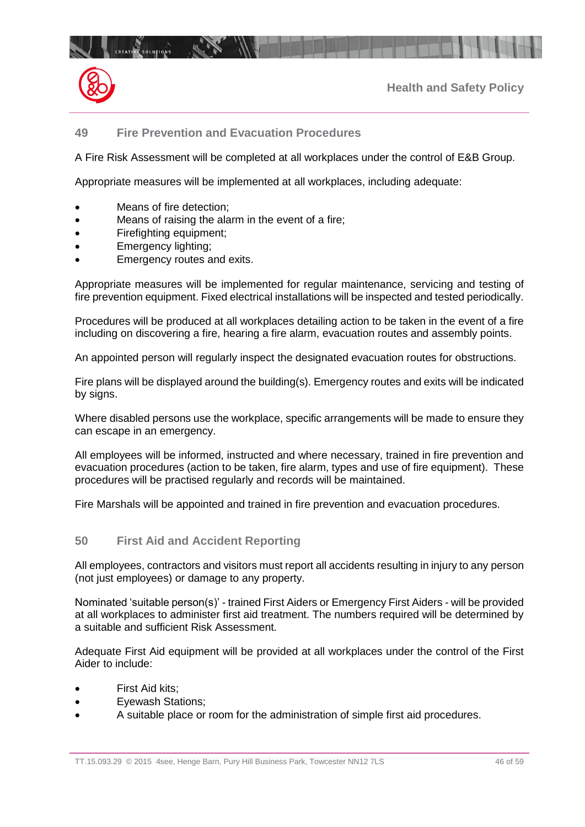

# **49 Fire Prevention and Evacuation Procedures**

A Fire Risk Assessment will be completed at all workplaces under the control of E&B Group.

Appropriate measures will be implemented at all workplaces, including adequate:

- Means of fire detection;
- Means of raising the alarm in the event of a fire;
- Firefighting equipment;
- Emergency lighting;
- Emergency routes and exits.

Appropriate measures will be implemented for regular maintenance, servicing and testing of fire prevention equipment. Fixed electrical installations will be inspected and tested periodically.

Procedures will be produced at all workplaces detailing action to be taken in the event of a fire including on discovering a fire, hearing a fire alarm, evacuation routes and assembly points.

An appointed person will regularly inspect the designated evacuation routes for obstructions.

Fire plans will be displayed around the building(s). Emergency routes and exits will be indicated by signs.

Where disabled persons use the workplace, specific arrangements will be made to ensure they can escape in an emergency.

All employees will be informed, instructed and where necessary, trained in fire prevention and evacuation procedures (action to be taken, fire alarm, types and use of fire equipment). These procedures will be practised regularly and records will be maintained.

Fire Marshals will be appointed and trained in fire prevention and evacuation procedures.

## **50 First Aid and Accident Reporting**

All employees, contractors and visitors must report all accidents resulting in injury to any person (not just employees) or damage to any property.

Nominated 'suitable person(s)' - trained First Aiders or Emergency First Aiders - will be provided at all workplaces to administer first aid treatment. The numbers required will be determined by a suitable and sufficient Risk Assessment.

Adequate First Aid equipment will be provided at all workplaces under the control of the First Aider to include:

- First Aid kits:
- Eyewash Stations;
- A suitable place or room for the administration of simple first aid procedures.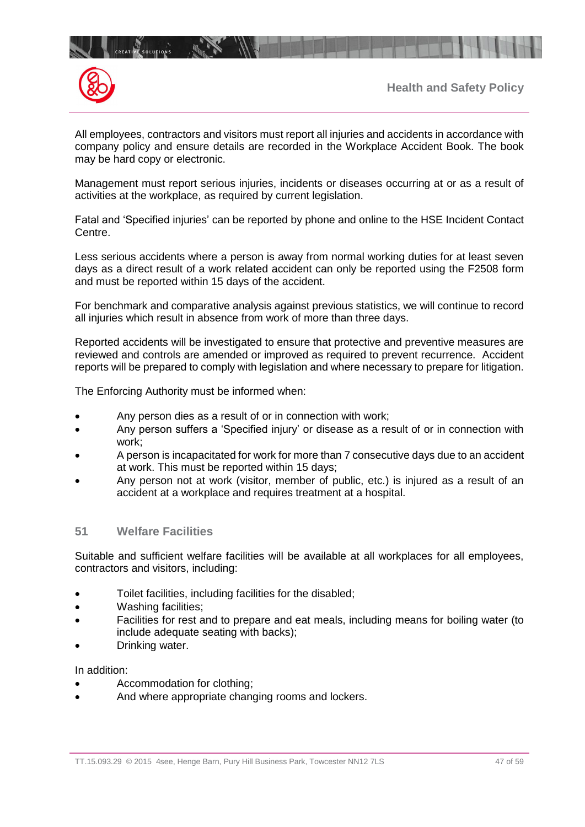

All employees, contractors and visitors must report all injuries and accidents in accordance with company policy and ensure details are recorded in the Workplace Accident Book. The book may be hard copy or electronic.

Management must report serious injuries, incidents or diseases occurring at or as a result of activities at the workplace, as required by current legislation.

Fatal and 'Specified injuries' can be reported by phone and online to the HSE Incident Contact Centre.

Less serious accidents where a person is away from normal working duties for at least seven days as a direct result of a work related accident can only be reported using the F2508 form and must be reported within 15 days of the accident.

For benchmark and comparative analysis against previous statistics, we will continue to record all injuries which result in absence from work of more than three days.

Reported accidents will be investigated to ensure that protective and preventive measures are reviewed and controls are amended or improved as required to prevent recurrence. Accident reports will be prepared to comply with legislation and where necessary to prepare for litigation.

The Enforcing Authority must be informed when:

- Any person dies as a result of or in connection with work;
- Any person suffers a 'Specified injury' or disease as a result of or in connection with work;
- A person is incapacitated for work for more than 7 consecutive days due to an accident at work. This must be reported within 15 days;
- Any person not at work (visitor, member of public, etc.) is injured as a result of an accident at a workplace and requires treatment at a hospital.

## **51 Welfare Facilities**

Suitable and sufficient welfare facilities will be available at all workplaces for all employees, contractors and visitors, including:

- Toilet facilities, including facilities for the disabled;
- Washing facilities;
- Facilities for rest and to prepare and eat meals, including means for boiling water (to include adequate seating with backs);
- Drinking water.

#### In addition:

- Accommodation for clothing;
- And where appropriate changing rooms and lockers.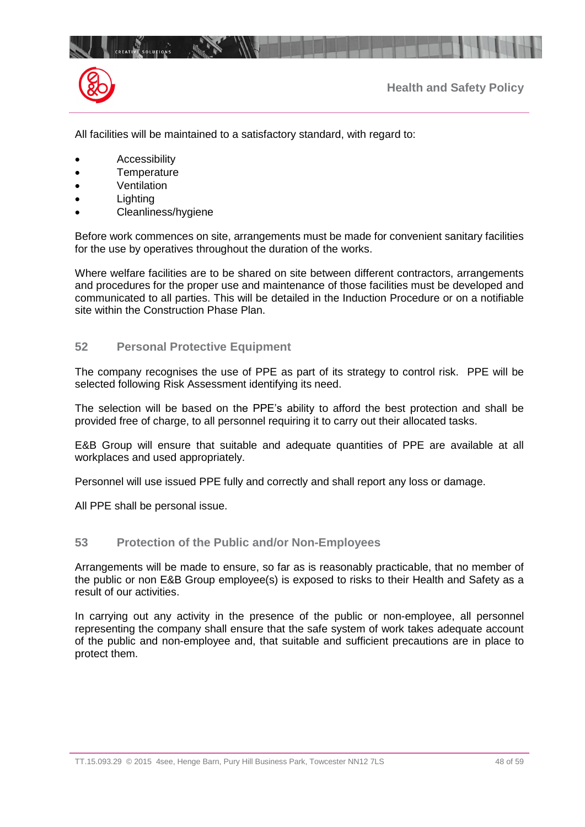

All facilities will be maintained to a satisfactory standard, with regard to:

- **Accessibility**
- Temperature
- **Ventilation**
- **Lighting**
- Cleanliness/hygiene

Before work commences on site, arrangements must be made for convenient sanitary facilities for the use by operatives throughout the duration of the works.

Where welfare facilities are to be shared on site between different contractors, arrangements and procedures for the proper use and maintenance of those facilities must be developed and communicated to all parties. This will be detailed in the Induction Procedure or on a notifiable site within the Construction Phase Plan.

#### **52 Personal Protective Equipment**

The company recognises the use of PPE as part of its strategy to control risk. PPE will be selected following Risk Assessment identifying its need.

The selection will be based on the PPE's ability to afford the best protection and shall be provided free of charge, to all personnel requiring it to carry out their allocated tasks.

E&B Group will ensure that suitable and adequate quantities of PPE are available at all workplaces and used appropriately.

Personnel will use issued PPE fully and correctly and shall report any loss or damage.

All PPE shall be personal issue.

#### **53 Protection of the Public and/or Non-Employees**

Arrangements will be made to ensure, so far as is reasonably practicable, that no member of the public or non E&B Group employee(s) is exposed to risks to their Health and Safety as a result of our activities.

In carrying out any activity in the presence of the public or non-employee, all personnel representing the company shall ensure that the safe system of work takes adequate account of the public and non-employee and, that suitable and sufficient precautions are in place to protect them.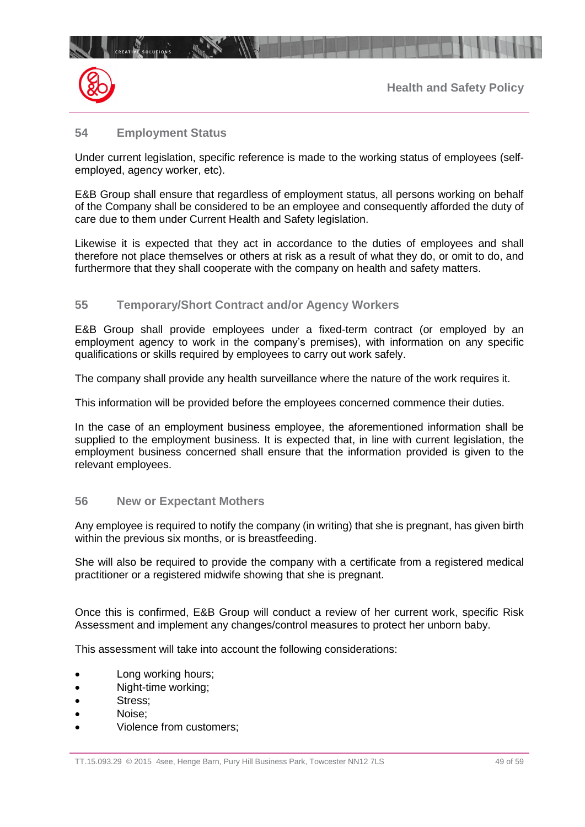

## **54 Employment Status**

Under current legislation, specific reference is made to the working status of employees (selfemployed, agency worker, etc).

E&B Group shall ensure that regardless of employment status, all persons working on behalf of the Company shall be considered to be an employee and consequently afforded the duty of care due to them under Current Health and Safety legislation.

Likewise it is expected that they act in accordance to the duties of employees and shall therefore not place themselves or others at risk as a result of what they do, or omit to do, and furthermore that they shall cooperate with the company on health and safety matters.

## **55 Temporary/Short Contract and/or Agency Workers**

E&B Group shall provide employees under a fixed-term contract (or employed by an employment agency to work in the company's premises), with information on any specific qualifications or skills required by employees to carry out work safely.

The company shall provide any health surveillance where the nature of the work requires it.

This information will be provided before the employees concerned commence their duties.

In the case of an employment business employee, the aforementioned information shall be supplied to the employment business. It is expected that, in line with current legislation, the employment business concerned shall ensure that the information provided is given to the relevant employees.

## **56 New or Expectant Mothers**

Any employee is required to notify the company (in writing) that she is pregnant, has given birth within the previous six months, or is breastfeeding.

She will also be required to provide the company with a certificate from a registered medical practitioner or a registered midwife showing that she is pregnant.

Once this is confirmed, E&B Group will conduct a review of her current work, specific Risk Assessment and implement any changes/control measures to protect her unborn baby.

This assessment will take into account the following considerations:

- Long working hours;
- Night-time working;
- Stress;
- Noise:
- Violence from customers;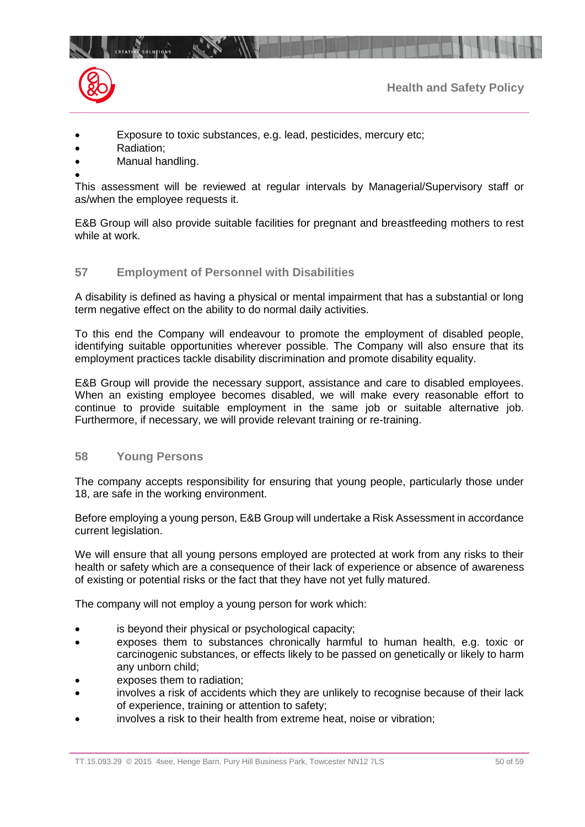



- **Health and Safety Policy**
- Exposure to toxic substances, e.g. lead, pesticides, mercury etc;
- Radiation:
- Manual handling.
- •

This assessment will be reviewed at regular intervals by Managerial/Supervisory staff or as/when the employee requests it.

E&B Group will also provide suitable facilities for pregnant and breastfeeding mothers to rest while at work.

## **57 Employment of Personnel with Disabilities**

A disability is defined as having a physical or mental impairment that has a substantial or long term negative effect on the ability to do normal daily activities.

To this end the Company will endeavour to promote the employment of disabled people, identifying suitable opportunities wherever possible. The Company will also ensure that its employment practices tackle disability discrimination and promote disability equality.

E&B Group will provide the necessary support, assistance and care to disabled employees. When an existing employee becomes disabled, we will make every reasonable effort to continue to provide suitable employment in the same job or suitable alternative job. Furthermore, if necessary, we will provide relevant training or re-training.

## **58 Young Persons**

The company accepts responsibility for ensuring that young people, particularly those under 18, are safe in the working environment.

Before employing a young person, E&B Group will undertake a Risk Assessment in accordance current legislation.

We will ensure that all young persons employed are protected at work from any risks to their health or safety which are a consequence of their lack of experience or absence of awareness of existing or potential risks or the fact that they have not yet fully matured.

The company will not employ a young person for work which:

- is beyond their physical or psychological capacity;
- exposes them to substances chronically harmful to human health, e.g. toxic or carcinogenic substances, or effects likely to be passed on genetically or likely to harm any unborn child;
- exposes them to radiation;
- involves a risk of accidents which they are unlikely to recognise because of their lack of experience, training or attention to safety;
- involves a risk to their health from extreme heat, noise or vibration;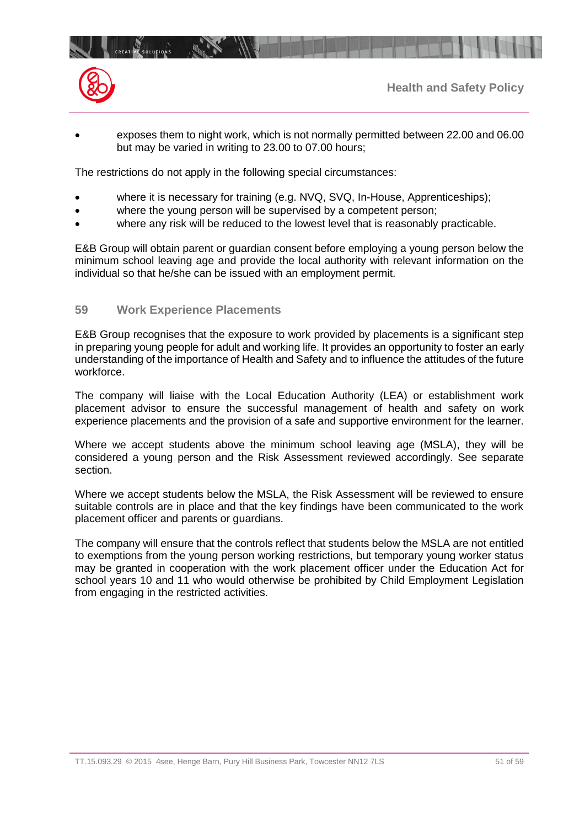

• exposes them to night work, which is not normally permitted between 22.00 and 06.00 but may be varied in writing to 23.00 to 07.00 hours;

The restrictions do not apply in the following special circumstances:

- where it is necessary for training (e.g. NVQ, SVQ, In-House, Apprenticeships);
- where the young person will be supervised by a competent person;
- where any risk will be reduced to the lowest level that is reasonably practicable.

E&B Group will obtain parent or guardian consent before employing a young person below the minimum school leaving age and provide the local authority with relevant information on the individual so that he/she can be issued with an employment permit.

#### **59 Work Experience Placements**

E&B Group recognises that the exposure to work provided by placements is a significant step in preparing young people for adult and working life. It provides an opportunity to foster an early understanding of the importance of Health and Safety and to influence the attitudes of the future workforce.

The company will liaise with the Local Education Authority (LEA) or establishment work placement advisor to ensure the successful management of health and safety on work experience placements and the provision of a safe and supportive environment for the learner.

Where we accept students above the minimum school leaving age (MSLA), they will be considered a young person and the Risk Assessment reviewed accordingly. See separate section.

Where we accept students below the MSLA, the Risk Assessment will be reviewed to ensure suitable controls are in place and that the key findings have been communicated to the work placement officer and parents or guardians.

The company will ensure that the controls reflect that students below the MSLA are not entitled to exemptions from the young person working restrictions, but temporary young worker status may be granted in cooperation with the work placement officer under the Education Act for school years 10 and 11 who would otherwise be prohibited by Child Employment Legislation from engaging in the restricted activities.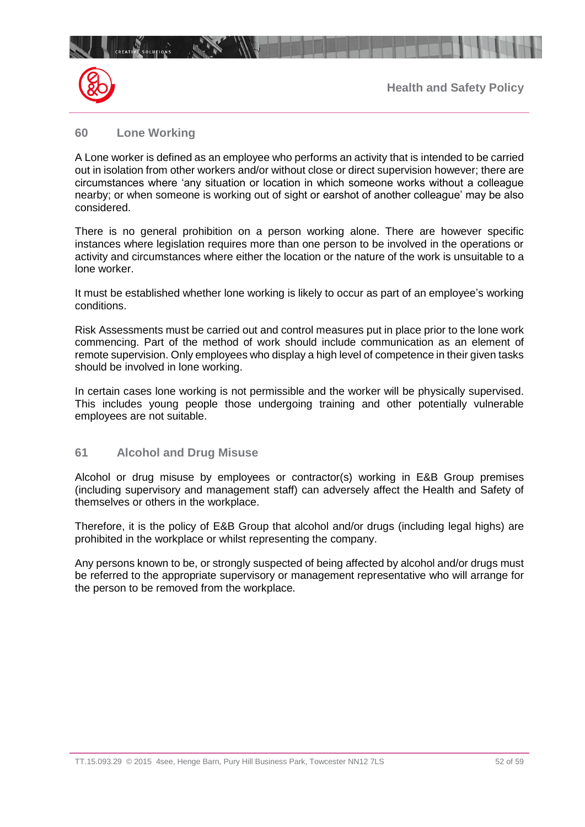

## **60 Lone Working**

A Lone worker is defined as an employee who performs an activity that is intended to be carried out in isolation from other workers and/or without close or direct supervision however; there are circumstances where 'any situation or location in which someone works without a colleague nearby; or when someone is working out of sight or earshot of another colleague' may be also considered.

There is no general prohibition on a person working alone. There are however specific instances where legislation requires more than one person to be involved in the operations or activity and circumstances where either the location or the nature of the work is unsuitable to a lone worker.

It must be established whether lone working is likely to occur as part of an employee's working conditions.

Risk Assessments must be carried out and control measures put in place prior to the lone work commencing. Part of the method of work should include communication as an element of remote supervision. Only employees who display a high level of competence in their given tasks should be involved in lone working.

In certain cases lone working is not permissible and the worker will be physically supervised. This includes young people those undergoing training and other potentially vulnerable employees are not suitable.

## **61 Alcohol and Drug Misuse**

Alcohol or drug misuse by employees or contractor(s) working in E&B Group premises (including supervisory and management staff) can adversely affect the Health and Safety of themselves or others in the workplace.

Therefore, it is the policy of E&B Group that alcohol and/or drugs (including legal highs) are prohibited in the workplace or whilst representing the company.

Any persons known to be, or strongly suspected of being affected by alcohol and/or drugs must be referred to the appropriate supervisory or management representative who will arrange for the person to be removed from the workplace.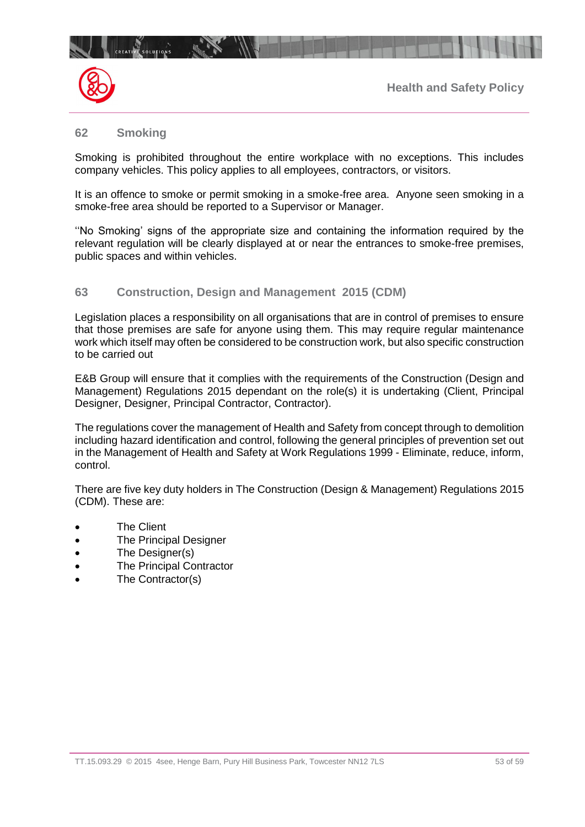

#### **62 Smoking**

Smoking is prohibited throughout the entire workplace with no exceptions. This includes company vehicles. This policy applies to all employees, contractors, or visitors.

It is an offence to smoke or permit smoking in a smoke-free area. Anyone seen smoking in a smoke-free area should be reported to a Supervisor or Manager.

''No Smoking' signs of the appropriate size and containing the information required by the relevant regulation will be clearly displayed at or near the entrances to smoke-free premises, public spaces and within vehicles.

## **63 Construction, Design and Management 2015 (CDM)**

Legislation places a responsibility on all organisations that are in control of premises to ensure that those premises are safe for anyone using them. This may require regular maintenance work which itself may often be considered to be construction work, but also specific construction to be carried out

E&B Group will ensure that it complies with the requirements of the Construction (Design and Management) Regulations 2015 dependant on the role(s) it is undertaking (Client, Principal Designer, Designer, Principal Contractor, Contractor).

The regulations cover the management of Health and Safety from concept through to demolition including hazard identification and control, following the general principles of prevention set out in the Management of Health and Safety at Work Regulations 1999 - Eliminate, reduce, inform, control.

There are five key duty holders in The Construction (Design & Management) Regulations 2015 (CDM). These are:

- **The Client**
- **The Principal Designer**
- The Designer(s)
- **The Principal Contractor**
- The Contractor(s)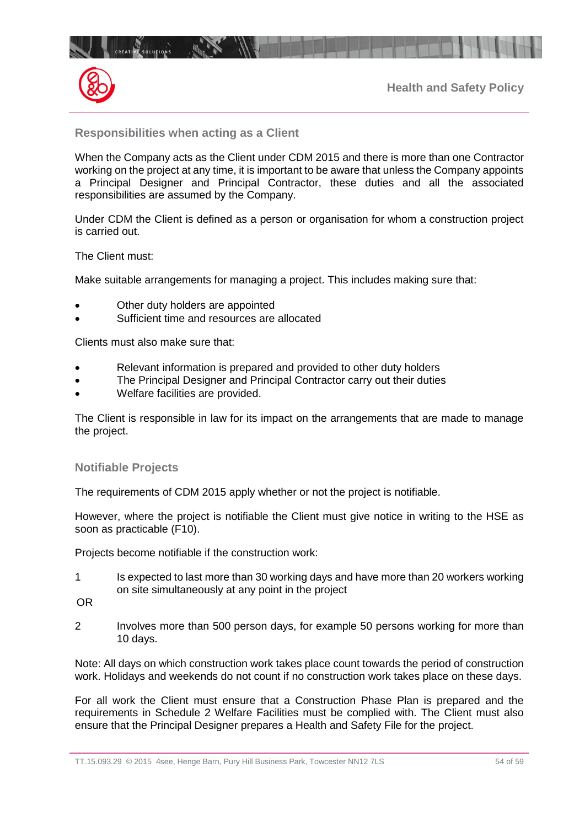



## **Responsibilities when acting as a Client**

When the Company acts as the Client under CDM 2015 and there is more than one Contractor working on the project at any time, it is important to be aware that unless the Company appoints a Principal Designer and Principal Contractor, these duties and all the associated responsibilities are assumed by the Company.

Under CDM the Client is defined as a person or organisation for whom a construction project is carried out.

The Client must:

Make suitable arrangements for managing a project. This includes making sure that:

- Other duty holders are appointed
- Sufficient time and resources are allocated

Clients must also make sure that:

- Relevant information is prepared and provided to other duty holders
- The Principal Designer and Principal Contractor carry out their duties
- Welfare facilities are provided.

The Client is responsible in law for its impact on the arrangements that are made to manage the project.

## **Notifiable Projects**

The requirements of CDM 2015 apply whether or not the project is notifiable.

However, where the project is notifiable the Client must give notice in writing to the HSE as soon as practicable (F10).

Projects become notifiable if the construction work:

- 1 Is expected to last more than 30 working days and have more than 20 workers working on site simultaneously at any point in the project
- OR
- 2 Involves more than 500 person days, for example 50 persons working for more than 10 days.

Note: All days on which construction work takes place count towards the period of construction work. Holidays and weekends do not count if no construction work takes place on these days.

For all work the Client must ensure that a Construction Phase Plan is prepared and the requirements in Schedule 2 Welfare Facilities must be complied with. The Client must also ensure that the Principal Designer prepares a Health and Safety File for the project.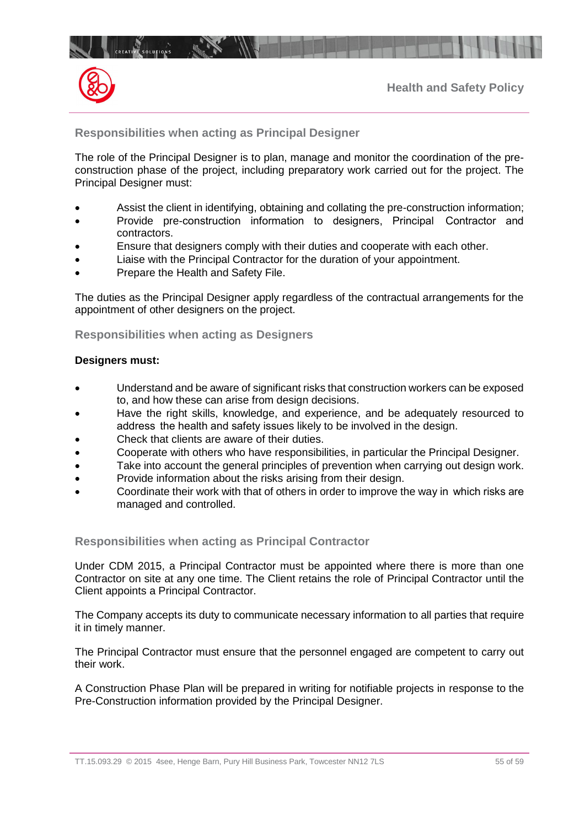



## **Responsibilities when acting as Principal Designer**

The role of the Principal Designer is to plan, manage and monitor the coordination of the preconstruction phase of the project, including preparatory work carried out for the project. The Principal Designer must:

- Assist the client in identifying, obtaining and collating the pre-construction information;
- Provide pre-construction information to designers, Principal   Contractor and contractors.
- Ensure that designers comply with their duties and cooperate with each other.
- Liaise with the Principal Contractor for the duration of your appointment.
- Prepare the Health and Safety File.

The duties as the Principal Designer apply regardless of the contractual arrangements for the appointment of other designers on the project.

#### **Responsibilities when acting as Designers**

#### **Designers must:**

- Understand and be aware of significant risks that construction workers can be exposed to, and how these can arise from design decisions.
- Have the right skills, knowledge, and experience, and be adequately resourced to address   the health and safety issues likely to be involved in the design.
- Check that clients are aware of their duties.
- Cooperate with others who have responsibilities, in particular the Principal Designer.
- Take into account the general principles of prevention when carrying out design work.
- Provide information about the risks arising from their design.
- Coordinate their work with that of others in order to improve the way in   which risks are managed and controlled.

#### **Responsibilities when acting as Principal Contractor**

Under CDM 2015, a Principal Contractor must be appointed where there is more than one Contractor on site at any one time. The Client retains the role of Principal Contractor until the Client appoints a Principal Contractor.

The Company accepts its duty to communicate necessary information to all parties that require it in timely manner.

The Principal Contractor must ensure that the personnel engaged are competent to carry out their work.

A Construction Phase Plan will be prepared in writing for notifiable projects in response to the Pre-Construction information provided by the Principal Designer.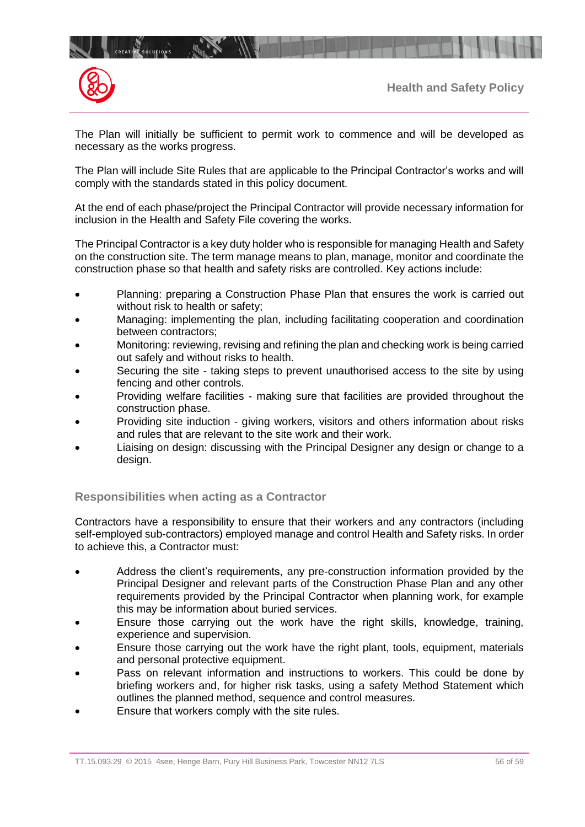

The Plan will initially be sufficient to permit work to commence and will be developed as necessary as the works progress.

The Plan will include Site Rules that are applicable to the Principal Contractor's works and will comply with the standards stated in this policy document.

At the end of each phase/project the Principal Contractor will provide necessary information for inclusion in the Health and Safety File covering the works.

The Principal Contractor is a key duty holder who is responsible for managing Health and Safety on the construction site. The term manage means to plan, manage, monitor and coordinate the construction phase so that health and safety risks are controlled. Key actions include:

- Planning: preparing a Construction Phase Plan that ensures the work is carried out without risk to health or safety;
- Managing: implementing the plan, including facilitating cooperation and coordination between contractors;
- Monitoring: reviewing, revising and refining the plan and checking work is being carried out safely and without risks to health.
- Securing the site taking steps to prevent unauthorised access to the site by using fencing and other controls.
- Providing welfare facilities making sure that facilities are provided throughout the construction phase.
- Providing site induction giving workers, visitors and others information about risks and rules that are relevant to the site work and their work.
- Liaising on design: discussing with the Principal Designer any design or change to a design.

## **Responsibilities when acting as a Contractor**

Contractors have a responsibility to ensure that their workers and any contractors (including self-employed sub-contractors) employed manage and control Health and Safety risks. In order to achieve this, a Contractor must:

- Address the client's requirements, any pre-construction information provided by the Principal Designer and relevant parts of the Construction Phase Plan and any other requirements provided by the Principal Contractor when planning work, for example this may be information about buried services.
- Ensure those carrying out the work have the right skills, knowledge, training, experience and supervision.
- Ensure those carrying out the work have the right plant, tools, equipment, materials and personal protective equipment.
- Pass on relevant information and instructions to workers. This could be done by briefing workers and, for higher risk tasks, using a safety Method Statement which outlines the planned method, sequence and control measures.
- Ensure that workers comply with the site rules.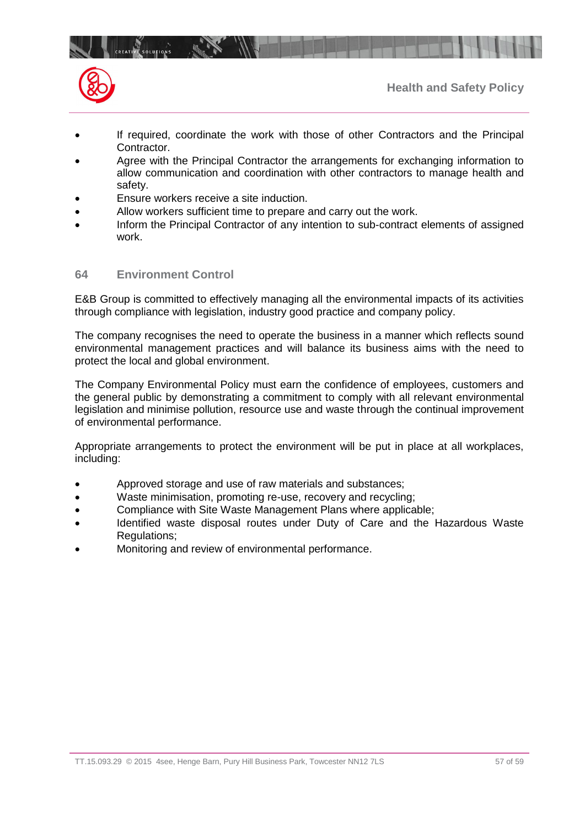

- If required, coordinate the work with those of other Contractors and the Principal Contractor.
- Agree with the Principal Contractor the arrangements for exchanging information to allow communication and coordination with other contractors to manage health and safety.
- Ensure workers receive a site induction.
- Allow workers sufficient time to prepare and carry out the work.
- Inform the Principal Contractor of any intention to sub-contract elements of assigned work.

## **64 Environment Control**

CREATIVE SOLUTIONS

E&B Group is committed to effectively managing all the environmental impacts of its activities through compliance with legislation, industry good practice and company policy.

The company recognises the need to operate the business in a manner which reflects sound environmental management practices and will balance its business aims with the need to protect the local and global environment.

The Company Environmental Policy must earn the confidence of employees, customers and the general public by demonstrating a commitment to comply with all relevant environmental legislation and minimise pollution, resource use and waste through the continual improvement of environmental performance.

Appropriate arrangements to protect the environment will be put in place at all workplaces, including:

- Approved storage and use of raw materials and substances;
- Waste minimisation, promoting re-use, recovery and recycling;
- Compliance with Site Waste Management Plans where applicable;
- Identified waste disposal routes under Duty of Care and the Hazardous Waste Regulations;
- Monitoring and review of environmental performance.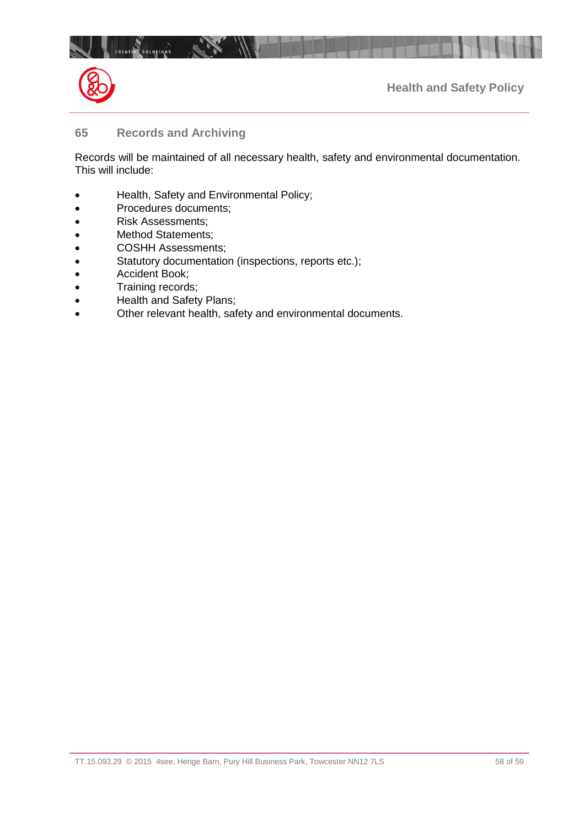



## **65 Records and Archiving**

Records will be maintained of all necessary health, safety and environmental documentation. This will include:

- Health, Safety and Environmental Policy;
- Procedures documents;
- Risk Assessments;
- Method Statements;
- COSHH Assessments;
- Statutory documentation (inspections, reports etc.);
- Accident Book;
- Training records;
- Health and Safety Plans;
- Other relevant health, safety and environmental documents.